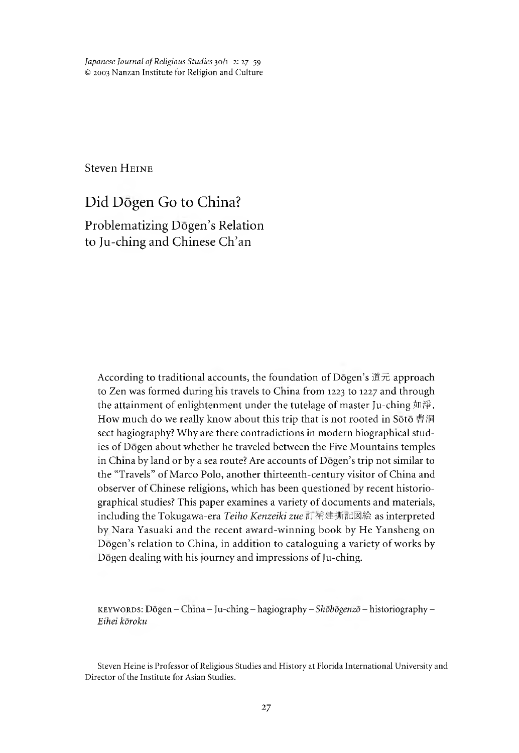*Japanese Journal of Religious Studies* 30/1-2: 27-59 © 2003 Nanzan Institute for Religion and Culture

Steven HEINE

# Did Dögen Go to China? Problematizing Dōgen's Relation to Ju-ching and Chinese Ch'an

According to traditional accounts, the foundation of Dōgen's  $# \vec{x}$  approach to Zen was formed during his travels to China from 1223 to 1227 and through the attainment of enlightenment under the tutelage of master Ju-ching 如淨. How much do we really know about this trip that is not rooted in Sōtō 曹洞 sect hagiography? Why are there contradictions in modern biographical studies of Dogen about whether he traveled between the Five Mountains temples in China by land or by a sea route? Are accounts of Dōgen's trip not similar to the "Travels" of Marco Polo, another thirteenth-century visitor of China and observer of Chinese religions, which has been questioned by recent historiographical studies? This paper examines a variety of documents and materials, including the Tokugawa-era *Teiho Kenzeiki zue* 訂補建撕記図絵 as interpreted by Nara Yasuaki and the recent award-winning book by He Yansheng on Dogen's relation to China, in addition to cataloguing a variety of works by Dogen dealing with his journey and impressions of Ju-ching.

k e y w o r d s : Dogen - Cnina - Ju-ching - hagiography - *Shobogenzo -* historiography - *Eihei koroku*

Steven Heine is Professor of Religious Studies and History at Florida International University and Director of the Institute for Asian Studies.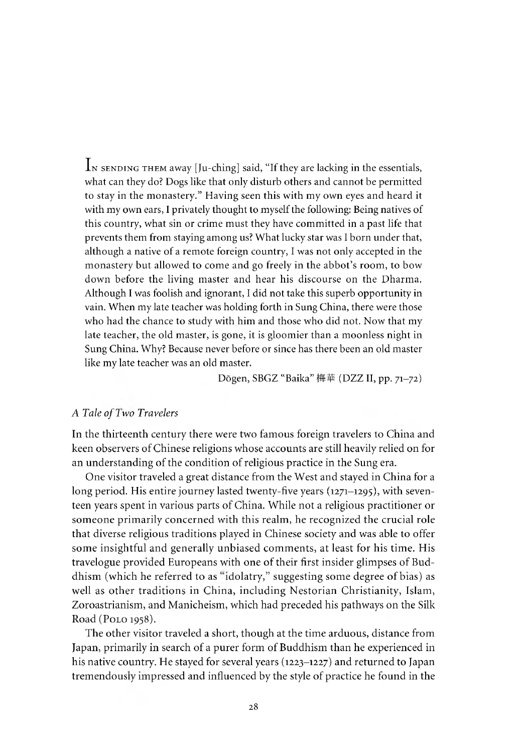IN SENDING THEM away [Ju-ching] said, "If they are lacking in the essentials, what can they do? Dogs like that only disturb others and cannot be permitted to stay in the monastery." Having seen this with my own eyes and heard it with my own ears, I privately thought to myself the following: Being natives of this country, what sin or crime must they have committed in a past life that prevents them from staying among us? What lucky star was I born under that, although a native of a remote foreign country, I was not only accepted in the monastery but allowed to come and go freely in the abbot's room, to bow down before the living master and hear his discourse on the Dharma. Although I was foolish and ignorant, I did not take this superb opportunity in vain. When my late teacher was holding forth in Sung China, there were those who had the chance to study with him and those who did not. Now that my late teacher, the old master, is gone, it is gloomier than a moonless night in Sung China. Why? Because never before or since has there been an old master like my late teacher was an old master.

Dōgen, SBGZ "Baika" 梅華 (DZZ II, pp. 71-72)

# A *Tale of 7 wo Travelers*

In the thirteenth century there were two famous foreign travelers to Cnina and keen observers of Chinese religions whose accounts are still heavily relied on for an understanding of the condition of religious practice in the Sung era.

One visitor traveled a great distance from the West and stayed in China for a long period. His entire journey lasted twenty-five years (1271–1295), with seventeen years spent in various parts of Cnina. While not a religious practitioner or someone primarily concerned with this realm, he recognized the crucial role that diverse religious traditions played in Chinese society and was able to offer some insightful and generally unbiased comments, at least for his time. His travelogue provided Europeans with one of their first insider glimpses of Buddhism (which he referred to as "idolatry," suggesting some degree of bias) as well as other traditions in China, including Nestorian Christianity, Islam, Zoroastrianism, and Manicheism, which had preceded his pathways on the Silk Road (Polo 1958).

The other visitor traveled a short, though at the time arduous, distance from Japan, primarily in search of a purer form of Buddhism than he experienced in his native country. He stayed for several years (1223–1227) and returned to Japan tremendously impressed and influenced by the style of practice he found in the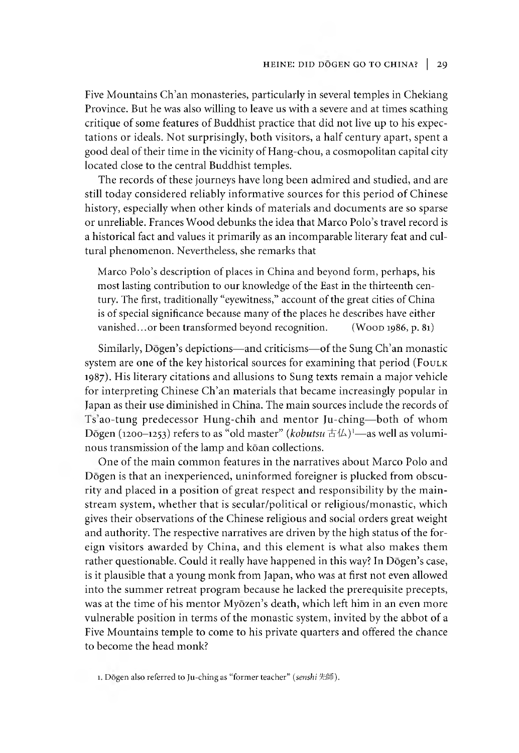Five Mountains Ch'an monasteries, particularly in several temples in Chekiang Province. But he was also willing to leave us with a severe and at times scathing critique of some features of Buddhist practice that did not live up to his expectations or ideals. Not surprisingly, both visitors, a half century apart, spent a good deal of their time in the vicinity of Hang-chou, a cosmopolitan capital city located close to the central Buddhist temples.

The records of these journeys have long been admired and studied, and are still today considered reliably informative sources for this period of Chinese history, especially when other kinds of materials and documents are so sparse or unreliable. Frances Wood debunks the idea that Marco Polo's travel record is a historical fact and values it primarily as an incomparable literary feat and cultural phenomenon. Nevertheless, she remarks that

Marco Polo's description of places in China and beyond form, perhaps, his most lasting contribution to our knowledge of the East in the thirteenth century. The first, traditionally "eyewitness," account of the great cities of China is of special significance because many of the places he describes have either vanished...or been transformed beyond recognition.  $($  W o  $\alpha$  1986, p. 81)

Similarly, Dōgen's depictions—and criticisms— of the Sung Ch'an monastic system are one of the key historical sources for examining that period (Foulk 1987). His literary citations and allusions to Sung texts remain a major vehicle for interpreting Chinese Ch'an materials that became increasingly popular in Japan as their use diminished in China. The main sources include the records of Is ao-tung predecessor Hung-chih and mentor Ju-ching—both of whom Dogen (1200-1253) refers to as "old master" *(kobutsu*  $\pm$ <sup>[ $\angle$ </sup>)<sup>1</sup>— as well as voluminous transmission of the lamp and kōan collections.

One of the main common features in the narratives about Marco Polo and Dogen is that an inexperienced, uninformed foreigner is plucked from obscurity and placed in a position of great respect and responsibility by the mainstream system, whether that is secular/political or religious/monastic, which gives their observations of the Cninese religious and social orders great weight and authority. The respective narratives are driven by the high status of the foreign visitors awarded by China, and this element is what also makes them rather questionable. Could it really have happened in this way? In Dōgen's case, is it plausible that a young monk from Japan, who was at first not even allowed into the summer retreat program because he lacked the prerequisite precepts, was at the time of his mentor Myōzen's death, which left him in an even more vulnerable position in terms of the monastic system, invited by the abbot of a Five Mountains temple to come to his private quarters and offered the chance to become the head monk?

1.Dogen also referred to Ju-ching as "former teacher" *(senshi* 先師).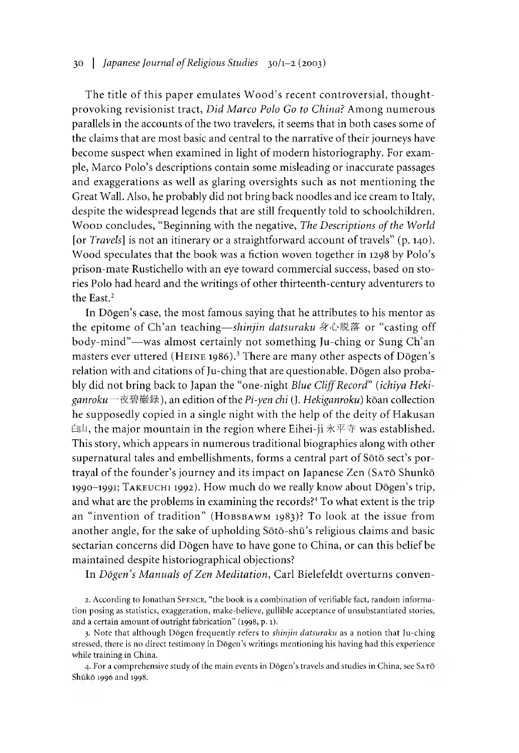# 30 | *Japanese Journal of Religious Studies* 30/1-2 (2003)

The title of this paper emulates Wood's recent controversial, thoughtprovoking revisionist tract, *Did Marco Polo Go to China?* Among numerous parallels in the accounts of the two travelers, it seems that in both cases some of the claims that are most basic and central to the narrative of their journeys have become suspect when examined in light of modern historiography. For example, Marco Polo's descriptions contain some misleading or inaccurate passages and exaggerations as well as glaring oversights such as not mentioning the Great Wall. Also, he probably did not bring back noodles and ice cream to Italy, despite the widespread legends that are still frequently told to schoolchildren. Wood concludes, "Beginning with the negative, *The Descriptions of the World* [or *Travels*] is not an itinerary or a straightforward account of travels" (p. 140). Wood speculates that the book was a fiction woven together in 1298 by Polo's prison-mate Rustichello with an eye toward commercial success, based on stories Polo had heard and the writings of other thirteenth-century adventurers to the East.<sup>2</sup>

In Dōgen's case, the most famous saying that he attributes to his mentor as the epitome of Ch'an teaching—shinjin datsuraku 身心脱落 or "casting off body-mind"-was almost certainly not something Ju-ching or Sung Ch'an masters ever uttered (HEINE 1986).<sup>3</sup> There are many other aspects of Dogen's relation with and citations of Ju-ching that are questionable. Dogen also probably did not bring back to Japan the "one-night *Blue Cliff Record" (ichiya Hekiganroku* 一夜碧巖録),an edition of the *Pi-yen cm* J. *Hekiganroku)* koan collection he supposedly copied in a single night with the help of the deity of Hakusan 白山, the major mountain in the region where Eihei-ji 永平寺 was established. This story, which appears in numerous traditional biographies along with other supernatural tales and embellishments, forms a central part of Sōtō sect's portrayal of the founder's journey and its impact on Japanese Zen (SATO Shunko 1990-1991; TAKEUCHI 1992). How much do we really know about Dogen's trip, and what are the problems in examining the records?<sup>4</sup> To what extent is the trip an "invention of tradition" (HOBSBAWM 1983)? To look at the issue from another angle, for the sake of upholding Sōtō-shū's religious claims and basic sectarian concerns did Dōgen have to have gone to China, or can this belief be maintained despite historiographical objections?

In *Dogen's Manuals of Zen Meditation*, Carl Bielefeldt overturns conven-

4. For a comprehensive study of the main events in Dōgen's travels and studies in China, see SATŌ Shuko 1996 and 1998.

<sup>2.</sup> According to Jonathan SPENCE, "the book is a combination of verifiable fact, random information posing as statistics, exaggeration, make-believe, gullible acceptance of unsubstantiated stories, and a certain amount of outright fabrication" (1998, p. 1).

<sup>3.</sup> Note that although Dogen frequently refers to *shinjin datsuraku* as a notion that Ju-ching stressed, there is no direct testimony in Dōgen's writings mentioning his having had this experience while training in China.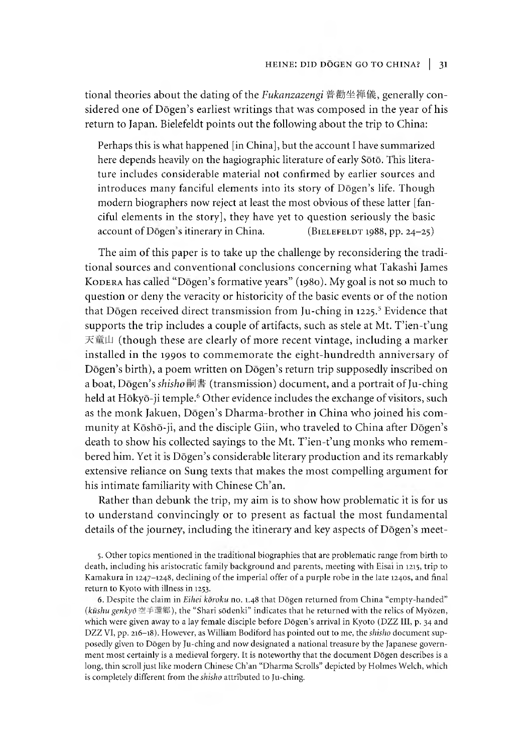tional theories about the dating of the *Fukanzazengi* 普勸坐禅儀, generally considered one of  $D\bar{o}$ gen's earliest writings that was composed in the year of his return to Japan. Bielefeldt points out the following about the trip to China:

Perhaps this is what happened [in China], but the account I have summarized here depends heavily on the hagiographic literature of early Sōtō. This literature includes considerable material not confirmed by earlier sources and introduces many fanciful elements into its story of Dōgen's life. Though modern biographers now reject at least the most obvious of these latter [fanciful elements in the story], they have yet to question seriously the basic account of Dōgen's itinerary in China.  $(B1EEEEDT 1988, pp. 24-25)$ 

The aim of this paper is to take up the challenge by reconsidering the traditional sources and conventional conclusions concerning what Takashi James KODERA has called "Dōgen's formative years" (1980). My goal is not so much to question or deny the veracity or historicity of the basic events or of the notion that Dōgen received direct transmission from Ju-ching in 1225.<sup>5</sup> Evidence that supports the trip includes a couple of artifacts, such as stele at Mt. T'ien-t'ung 天童山 (though these are clearly of more recent vintage, including a marker installed in the 1990s to commemorate the eight-hundredth anniversary of Dōgen's birth), a poem written on Dōgen's return trip supposedly inscribed on a boat, Dōgen's *shisho* 嗣書 (transmission) document, and a portrait of Ju-ching held at Hōkyō-ji temple.<sup>6</sup> Other evidence includes the exchange of visitors, such as the monk Jakuen, Dōgen's Dharma-brother in China who joined his community at Kōshō-ji, and the disciple Giin, who traveled to China after Dōgen's death to show his collected sayings to the Mt. T'ien-t'ung monks who remembered him. Yet it is Dōgen's considerable literary production and its remarkably extensive reliance on Sung texts that makes the most compelling argument for his intimate familiarity with Chinese Ch'an.

Rather than debunk the trip, my aim is to show how problematic it is for us to understand convincingly or to present as factual the most fundamental details of the journey, including the itinerary and key aspects of Dōgen's meet-

5. Other topics mentioned in the traditional biographies that are problematic range from birth to death, including his aristocratic family background and parents, meeting with Eisai in 1215, trip to Kamakura in 1247-1248, declining of the imperial offer of a purple robe in the late 1240s, and final return to Kyoto with illness in 1253.

6. Despite the claim in *Eihei koroku* no. 1.48 that Dogen returned from China "empty-handed" (kūshu genkyō 空手還郷), the "Shari sōdenki" indicates that he returned with the relics of Myōzen, which were given away to a lay female disciple before Dōgen's arrival in Kyoto (DZZ III, p. 34 and DZZ VI, pp. 216-18). However, as William Bodiford has pointed out to me, the *shisho* document supposedly given to Dogen by Ju-ching and now designated a national treasure by the Japanese government most certainly is a medieval forgery. It is noteworthy that the document Dogen describes is a long, thin scroll just like modern Chinese Ch'an "Dharma Scrolls" depicted by Holmes Welch, which is completely different from the *smsho* attributed to Ju-ching.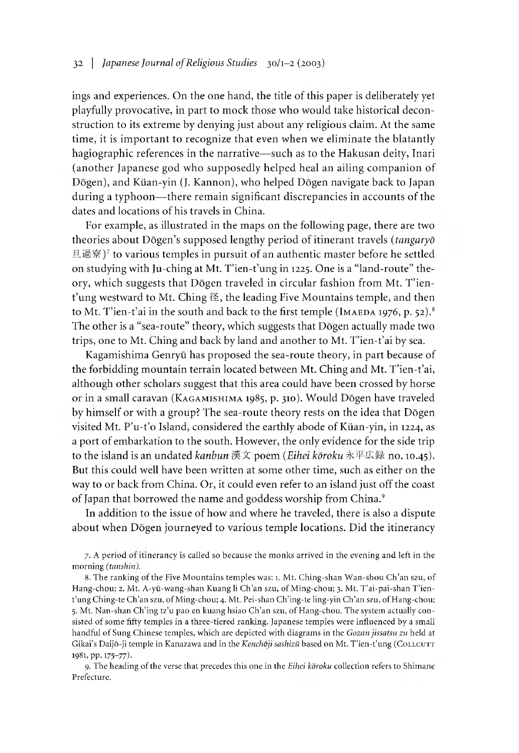ings and experiences. On the one hand, the title of this paper is deliberately yet playfully provocative, in part to mock those who would take historical deconstruction to its extreme by denying just about any religious claim. At the same time, it is important to recognize that even when we eliminate the blatantly hagiographic references in the narrative— such as to the Hakusan deity, Inari (another Japanese god who supposedly helped heal an ailing companion of Dogen), and Kiian-yin (J. Kannon), who helped Dogen navigate back to Japan during a typhoon— there remain significant discrepancies in accounts of the dates and locations of his travels in China.

For example, as illustrated in the maps on the following page, there are two theories about Dogen's supposed lengthy period of itinerant travels *(tangaryo*) 旦過寮)7 to various temples in pursuit of an authentic master before he settled on studying with Ju-ching at Mt. T'ien-t'ung in 1225. One is a "land-route" theory, which suggests that Dōgen traveled in circular fashion from Mt. T'ien $t'$ ung westward to Mt. Ching  $\mathcal{E}$ , the leading Five Mountains temple, and then to Mt. T'ien-t'ai in the south and back to the first temple (IMAEDA 1976, p. 52).<sup>8</sup> The other is a "sea-route" theory, which suggests that Dōgen actually made two trips, one to Mt. Ching and back by land and another to Mt. T'ien-t'ai by sea.

Kagamishima Genryū has proposed the sea-route theory, in part because of the forbidding mountain terrain located between Mt. Ching and Mt. T'ien-t'ai, although other scholars suggest that this area could have been crossed by horse or in a small caravan (KAGAMISHIMA 1985, p. 310). Would Dogen have traveled by himself or with a group? The sea-route theory rests on the idea that Dōgen visited Mt. P'u-t'o Island, considered the earthly abode of Küan-yin, in 1224, as a port of embarkation to the south. However, the only evidence for the side trip to the island is an undated *kanbun* 漢文 poem *(Eihei koroku* 氷平広録 no. 10.45). But this could well have been written at some other time, such as either on the way to or back from China. Or, it could even refer to an island just off the coast of Japan that borrowed the name and goddess worship from China.<sup>9</sup>

In addition to the issue of how and where he traveled, there is also a dispute about when Dōgen journeyed to various temple locations. Did the itinerancy

7. A period of itinerancy is called so because the monks arrived in the evening and left in the morning *(tanshin).*

8. The ranking of the Five Mountains temples was:1.Mt. Ching-shan Wan-shou Ch'an szu, of Hang-chou; 2. Mt. A-yü-wang-shan Kuang li Ch'an szu, of Ming-chou; 3. Mt. T'ai-pai-shan T'ient'ung Ching-te Ch'an szu, of Ming-chou; 4. Mt. Pei-shan Ch'ing-te ling-yin Ch'an szu, of Hang-chou; 5. Mt. Nan-shan Ch'ing tz'u pao en kuang hsiao Ch'an szu, of Hang-chou. The system actually consisted of some fifty temples in a three-tiered ranking. Japanese temples were influenced by a small handful of Sung Chinese temples, which are depicted with diagrams in the *Gozan jissatsu zu* held at Gikai's Daijō-ji temple in Kanazawa and in the *Kenchōji sashizū* based on Mt. T'ien-t'ung (COLLCUTT 1981, pp. 175-77).

9. The heading of the verse that precedes this one in the *Eihei koroku* collection refers to Shimane Prefecture.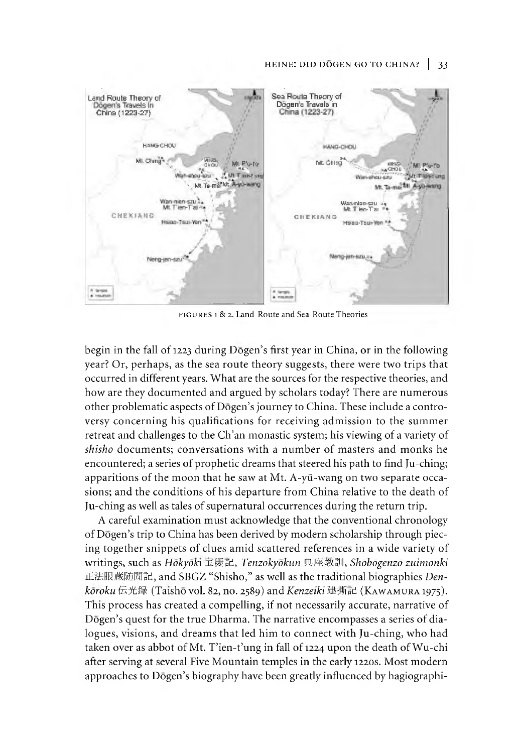#### HEINE: DID DOGEN GO TO CHINA? | 33



FIGURES 1 & 2. Land-Route and Sea-Route Theories

begin in the fall of 1223 during Dōgen's first year in China, or in the following year? Or, perhaps, as the sea route theory suggests, there were two trips that occurred in different years. What are the sources for the respective theories, and how are they documented and argued by scholars today? There are numerous other problematic aspects of Dōgen's journey to China. These include a controversy concerning his qualifications for receiving admission to the summer retreat and challenges to the Ch'an monastic system; his viewing of a variety of *shisho* documents; conversations with a number of masters and monks he encountered; a series of prophetic dreams that steered his path to find Ju-ching; apparitions of the moon that he saw at Mt. A-yü-wang on two separate occasions; and the conditions of his departure from China relative to the death of Ju-ching as well as tales of supernatural occurrences during the return trip.

A careful examination must acknowledge that the conventional chronology of Dōgen's trip to China has been derived by modern scholarship through piecing together snippets of clues amid scattered references in a wide variety of writings, such as *HokyoKi* 玉慶記*,fenzokyokun* 典座教訓*,Shdbdgenzd zuimonki* 正法眼蔵随聞記,and SBGZ "Shisho," as well as the traditional biographies *Den*kōroku伝光録 (Taishō vol. 82, no. 2589) and *Kenzeiki* 建撕記 (KAWAMURA 1975). This process has created a compelling, if not necessarily accurate, narrative of Dōgen's quest for the true Dharma. The narrative encompasses a series of dialogues, visions, and dreams that led him to connect with Ju-ching, who had taken over as abbot of Mt. T'ien-t'ung in fall of 1224 upon the death of Wu-chi after serving at several Five Mountain temples in the early 1220s. Most modern approaches to Dōgen's biography have been greatly influenced by hagiographi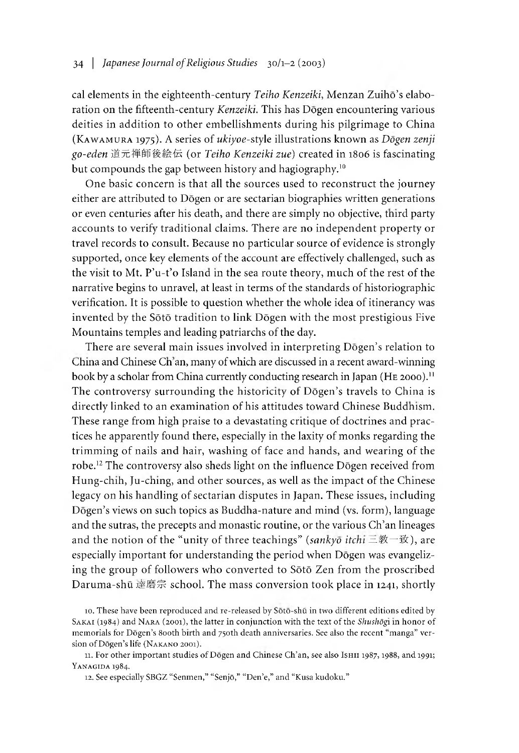cal elements in the eighteenth-century *Teiho Kenzeiki*, Menzan Zuihō's elaboration on the fifteenth-century *Kenzeiki*. This has Dōgen encountering various deities in addition to other embellishments during his pilgrimage to China (KAWAMURA 1975). A series of *ukiyoe-style illustrations known as Dogen zenji go-eden* 道元禅師後,絵伝 (or *Teiho Kenzeiki zue)* created in 1806 is fascinating but compounds the gap between history and hagiography.<sup>10</sup>

One basic concern is that all the sources used to reconstruct the journey either are attributed to Dogen or are sectarian biograpnies written generations or even centuries after his death, and there are simply no objective, third party accounts to verify traditional claims. There are no independent property or travel records to consult. Because no particular source of evidence is strongly supported, once key elements of the account are effectively challenged, such as the visit to Mt. P'u-t'o Island in the sea route theory, much of the rest of the narrative begins to unravel, at least in terms of the standards of historiographic verification. It is possible to question whether the whole idea of itinerancy was invented by the Soto tradition to link Dogen with the most prestigious Five Mountains temples and leading patriarchs of the day.

There are several main issues involved in interpreting Dōgen's relation to China and Chinese Ch'an, many of which are discussed in a recent award-winning book by a scholar from China currently conducting research in Japan (HE 2000).<sup>11</sup> The controversy surrounding the historicity of Dōgen's travels to China is directly linked to an examination of his attitudes toward Chinese Buddnism. These range from high praise to a devastating critique of doctrines and practices he apparently found there, especially in the laxity of monks regarding the trimming of nails and hair, washing of face and hands, and wearing of the robe.<sup>12</sup> The controversy also sheds light on the influence Dogen received from Hung-chih, Ju-ching, and other sources, as well as the impact of the Chinese legacy on his handling of sectarian disputes in Japan. These issues, including Dōgen's views on such topics as Buddha-nature and mind (vs. form), language and the sutras, the precepts and monastic routine, or the various Ch'an lineages and the notion of the "unity of three teachings" (sankyō itchi 三教一致), are especially important for understanding the period when Dōgen was evangelizing the group of followers who converted to Soto Zen from the proscribed Daruma-shū 達磨宗 school. The mass conversion took place in 1241, shortly

<sup>10.</sup> These have been reproduced and re-released by Soto-shia in two different editions edited by SAKAI (1984) and NARA (2001), the latter in conjunction with the text of the *Shushogi* in honor of memorials for Dōgen's 800th birth and 750th death anniversaries. See also the recent "manga" version of Dogen's life (Nakano 2001).

<sup>11.</sup> For other important studies of Dogen and Chinese Ch'an, see also Ishii 1987, 1988, and 1991; YANAGIDA 1984.

<sup>12.</sup> See especially SBGZ "Senmen," "Senjō," "Den'e," and "Kusa kudoku."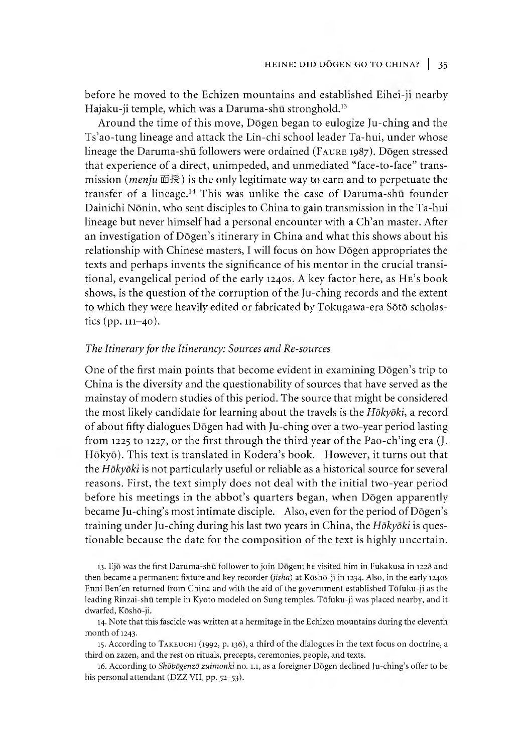before he moved to the Echizen mountains and established Eihei-ji nearby Hajaku-ji temple, which was a Daruma-shū stronghold.<sup>13</sup>

Around the time of this move, Dogen began to eulogize Ju-ching and the Ts'ao-tung lineage and attack the Lin-chi school leader Ta-hui, under whose lineage the Daruma-shū followers were ordained (FAURE 1987). Dōgen stressed that experience of a direct, unimpeded, and unmediated "face-to-face" transmission *(menju* 面授)is the only legitimate way to earn and to perpetuate the transfer of a lineage.<sup>14</sup> This was unlike the case of Daruma-shū founder Dainichi Nonin, who sent disciples to China to gain transmission in the Ta-hui lineage but never himself had a personal encounter with a Ch'an master. After an investigation of Dōgen's itinerary in China and what this shows about his relationship with Chinese masters, I will focus on how Dōgen appropriates the texts and perhaps invents the significance of his mentor in the crucial transitional, evangelical period of the early 1240s. A key factor here, as HE's book shows, is the question of the corruption of the Ju-ching records and the extent to which they were heavily edited or fabricated by Tokugawa-era Sōtō scholastics (pp. 111-40).

## *The Itinerary for the Itinerancy:* Sowrces *and Re-sources*

One of the first main points that become evident in examining Dogen's trip to China is the diversity and the questionability of sources that have served as the mainstay of modern studies of this period. The source that might be considered the most likely candidate for learning about the travels is the Hokyoki, a record of about fifty dialogues Dogen had with Ju-ching over a two-year period lasting from 1225 to 1227, or the first through the third year of the Pao-ch'ing era  $(J.$ Hōkyō). This text is translated in Kodera's book. However, it turns out that the *Hokyoki* is not particularly useful or reliable as a historical source for several reasons. First, the text simply does not deal with the initial two-year period before his meetings in the abbot's quarters began, when Dogen apparently became Ju-ching's most intimate disciple. Also, even for the period of Dōgen's training under Ju-ching during his last two years in China, the *Hokyoki* is questionable because the date for the composition of the text is highly uncertain.

13. Ejo was the first Daruma-shu follower to join Dogen; he visited him in Fukakusa in 1228 and then became a permanent fixture and key recorder *{jisha)* at Kosho-ji in 1234. Also, in the early 1240s Enni Ben'en returned from China and with the aid of the government established Tofuku-ji as the leading Rinzai-shū temple in Kyoto modeled on Sung temples. Tōfuku-ji was placed nearby, and it dwarfed, Kōshō-ji.

14. Note that this fascicle was written at a hermitage in the Echizen mountains during the eleventh month of 1243.

15. According to TAKEUCH1 (1992, p. 136), a third of the dialogues in the text focus on doctrine, a third on zazen, and the rest on rituals, precepts, ceremonies, people, and texts.

16. According to *Shōbōgenzō zuimonki* no. 1.1, as a foreigner Dōgen declined Ju-ching's offer to be his personal attendant (DZZ VII, pp. 52-53).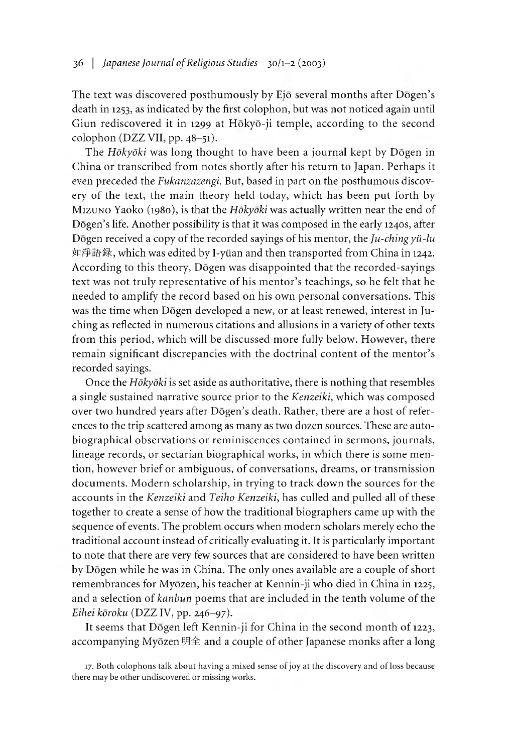The text was discovered posthumously by Ejō several months after Dōgen's death in 1253, as indicated by the first colophon, but was not noticed again until Giun rediscovered it in 1299 at Hokyo-ji temple, according to the second colophon (DZZ VII, pp. 48-51).

The *Hokyoki* was long thought to have been a journal kept by Dogen in China or transcribed from notes shortly after his return to Japan. Perhaps it even preceded the *Fukanzazengi.* But, based in part on the posthumous discovery of the text, the main theory held today, which has been put forth by MIZUNO Yaoko (1980), is that the *Hōkyōki* was actually written near the end of Dogen's life. Another possibility is that it was composed in the early 1240s, after Dogen received a copy of the recorded sayings of his mentor, the *Ju-chingyii-lu* 如淨語録,which was edited by I-yiian and then transported from China in 1242. According to this theory, Dōgen was disappointed that the recorded-sayings text was not truly representative of his mentor's teachings, so he felt that he needed to amplify the record based on his own personal conversations. This was the time when Dogen developed a new, or at least renewed, interest in Juching as reflected in numerous citations and allusions in a variety of other texts from this period, which will be discussed more fully below. However, there remain significant discrepancies with the doctrinal content of the mentor's recorded sayings.

Once the *Hokyoki* is set aside as authoritative, there is nothing that resembles a single sustained narrative source prior to the *Kenzeiki,* which was composed over two hundred years after Dōgen's death. Rather, there are a host of references to the trip scattered among as many as two dozen sources. These are autobiographical observations or reminiscences contained in sermons, journals, lineage records, or sectarian biographical works, in which there is some mention, however brief or ambiguous, of conversations, dreams, or transmission documents. Modern scholarship, in trying to track down the sources for the accounts in the *Kenzeiki* and *Teino Kenzeiki,* has culled and pulled all of these together to create a sense of how the traditional biographers came up with the sequence of events. The problem occurs when modern scholars merely echo the traditional account instead of critically evaluating it. It is particularly important to note that there are very few sources that are considered to have been written by Dogen while he was in China. The only ones available are a couple of short remembrances for Myōzen, his teacher at Kennin-ji who died in China in 1225, and a selection of *kanbun* poems that are included in the tenth volume of the *Eihei koroku* (DZZ IV, pp. 246-97).

It seems that Dogen left Kennin-ji for China in the second month of 1223, accompanying Myōzen 明全 and a couple of other Japanese monks after a long

17. Both colophons talk about having a mixed sense of joy at the discovery and of loss because there may be other undiscovered or missing works.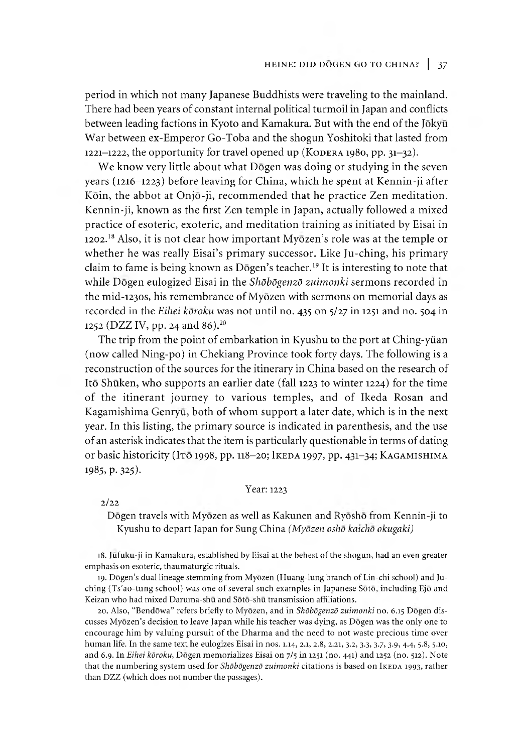period in which not many Japanese Buddhists were traveling to the mainland. There had been years of constant internal political turmoil in Japan and conflicts between leading factions in Kyoto and Kamakura. But with the end of the Jokyu War between ex-Emperor Go-Toba and the shogun Yoshitoki that lasted from 1221-1222, the opportunity for travel opened up (KODERA 1980, pp.  $31-32$ ).

We know very little about what Dogen was doing or studying in the seven years (1216-1223) before leaving for China, which he spent at Kennin-ji after Koin, the abbot at Onjo-ji, recommended that he practice Zen meditation. Kennin-ji, known as the first Zen temple in Japan, actually followed a mixed practice of esoteric, exoteric, and meditation training as initiated by Eisai in 1202.<sup>18</sup> Also, it is not clear how important Myōzen's role was at the temple or whether he was really Eisai's primary successor. Like Ju-ching, his primary claim to fame is being known as Dōgen's teacher.<sup>19</sup> It is interesting to note that while Dōgen eulogized Eisai in the *Shōbōgenzō zuimonki* sermons recorded in the mid-i230s, his remembrance of Myozen with sermons on memorial days as recorded in the *Eihei koroku* was not until no. 435 on 5/27 in 1251 and no. 504 in 1252 (DZZ IV, pp. 24 and 86).<sup>20</sup>

The trip from the point of embarkation in Kyushu to the port at Ching-yiian (now called Ning-po) in Chekiang Province took forty days. The following is a reconstruction of the sources for the itinerary in China based on the research of Ito Shuken, who supports an earlier date (fall 1223 to winter 1224) for the time of the itinerant journey to various temples, and of Ikeda Rosan and Kagamishima Genryū, both of whom support a later date, which is in the next year. In this listing, the primary source is indicated in parenthesis, and the use of an asterisk indicates that the item is particularly questionable in terms of dating or basic historicity (ITō 1998, pp. 118-20; IKEDA 1997, pp. 431-34; KAGAMISHIMA 1985, p. 325).

#### Year: 1223

2/22

Dogen travels with Myozen as well as Kakunen and Ryosho from Kennin-ji to Kyushu to depart Japan for Sung China *(Myozen osho kaicno okugaki)*

18. Jufuku-ji in Kamakura, established by Eisai at the behest of the shogun, had an even greater emphasis on esoteric, thaumaturgic rituals.

19. Dōgen's dual lineage stemming from Myōzen (Huang-lung branch of Lin-chi school) and Juching (Ts ao-tung school) was one of several such examples in Japanese Soto, including Ejo and Keizan who had mixed Daruma-shū and Sōtō-shū transmission affiliations.

20. Also, "BendGwa" refers briefly to Myozen, and in *Shdbdgenzd zuimonki* no. 6.15 Dogen discusses Myōzen's decision to leave Japan while his teacher was dying, as Dōgen was the only one to encourage him by valuing pursuit of the Dharma and the need to not waste precious time over human life. In the same text he eulogizes Eisai in nos. 1.14, 2.1, 2.8, 2.21 3.2 3.3, 3.7, 3.9, 4.4, 5.8 5.10, and 6.9. In *Eihei koroku*, Dogen memorializes Eisai on 7/5 in 1251 (no. 441) and 1252 (no. 512). Note that the numbering system used for *Shōbōgenzō zuimonki* citations is based on IkEDA 1993, rather than DZZ (which does not number the passages).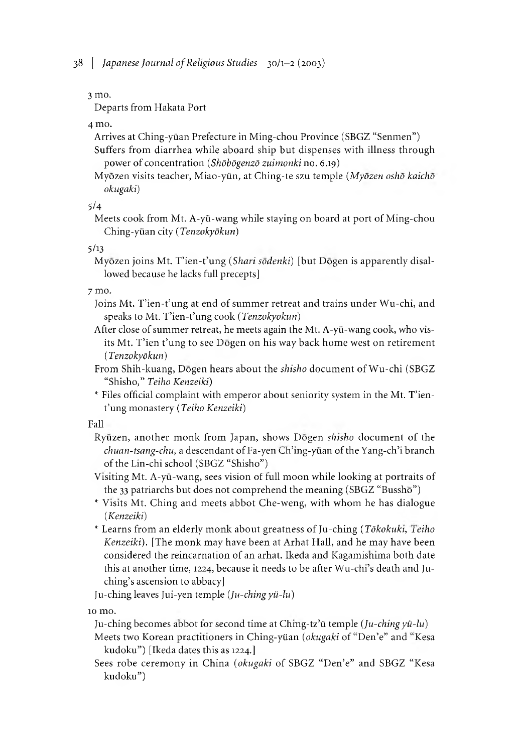3 mo.

Departs from Hakata Port

4 mo.

Arrives at Ching-yiian Prefecture in Ming-chou Province (SBGZ "Senmen") Suffers from diarrhea while aboard ship but dispenses with illness through power of concentration *(Shdbdgenzd zuimonki* no. 6.19)

Myozen visits teacher, Miao-yiin, at Ching-te szu temple *(Myozen osho kaicho okugaki)*

5/4

Meets cook from Mt. A-yii-wang while staying on board at port of Ming-chou Ching-yiian *city (Tenzokydkun)*

5/13

Myōzen joins Mt. T'ien-t'ung *(Shari sōdenki)* [but Dōgen is apparently disallowed because he lacks full precepts]

7 mo.

- Joins Mt. T'ien-t'ung at end of summer retreat and trains under Wu-chi, and speaks to Mt. T'ien-t'ung cook (*Tenzokyōkun*)
- After close of summer retreat, he meets again the Mt. A-yü-wang cook, who visits Mt. T'ien t'ung to see Dōgen on his way back home west on retirement *(Tenzokydkun)*
- From Shih-kuang, Dogen hears about the *shisho* document ofWu-chi (SBGZ "Shisho," *Teiho Kenzeiki)*
- \* Files official complaint with emperor about seniority system in the Mt. T'ient'ung monastery *(Teiho Kenzeiki)*

Fall

- Ryuzen, another monk from Japan, shows Dogen *shisho* document of the *chuan-tsang-chu,* a descendant of Fa-yen Ch'ing-yüan of the Yang-ch'i branch of the Lin-chi school (SBGZ "Shisho")
- Visiting Mt. A-yii-wang, sees vision of tull moon while looking at portraits of the 33 patriarchs but does not comprehend the meaning (SBGZ "Busshō")
- ^ Visits Mt. Ching and meets abbot Che-weng, with whom he has dialogue *(Kenzeiki)*
- <sup>\*</sup> Learns from an elderly monk about greatness of Ju-ching *(Tōkokuki, Teiho Kenzeiki).* [The monk may have been at Arhat Hall, and he may have been considered the reincarnation of an arhat. Ikeda and Kagamisnima both date this at another time, 1224, because it needs to be after Wu-chi's death and Juching's ascension to abbacy]

Ju-ching leaves Jui-yen temple *(Ju-chingyii-lu)*

10 mo.

Ju-ching becomes aobot for second time at Chmg-tz,ii temple *(Ju-chingyii-lu)*

Meets two Korean practitioners in Ching-yüan (okugaki of "Den'e" and "Kesa kudoku") [Ikeda dates this as 1224.]

Sees robe ceremony in China *(okugaki* of SBGZ "Den'e" and SBGZ "Kesa kudoku")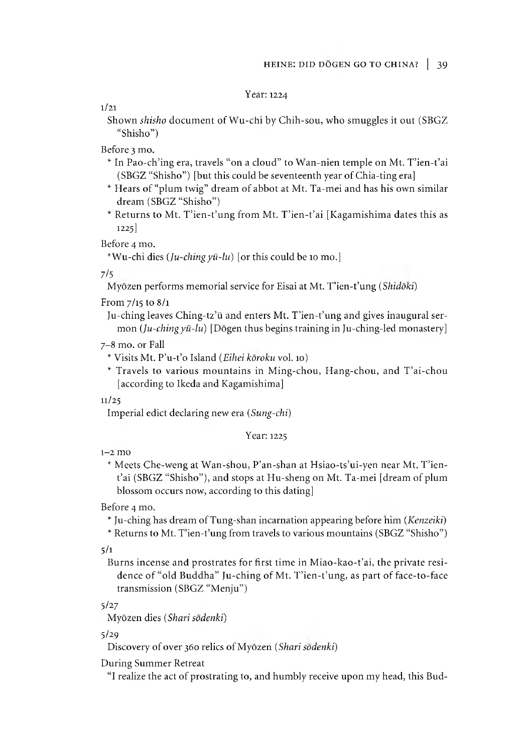Year: 1224

1/21

Shown *shisho* document of Wu-chi by Chih-sou, who smuggles it out (SBGZ "Shisho")

Before 3 mo.

- \* In Pao-ch'ing era, travels "on a cloud" to Wan-nien temple on Mt. T'ien-t'ai (SBGZ "Shisho") [but this could be seventeenth year of Chia-ting era]
- ^ Hears of "plum twig" dream of abbot at Mt. Ta-mei and has his own similar dream (SBGZ "Shisho")
- \* Returns to Mt. T'ien-t'ung from Mt. T'ien-t'ai [Kagamishima dates this as 1225]

Before 4 mo.

^Wu-chi dies *(Ju-chingyii-lu)* [or this could be 10 mo.]

7/5

Myōzen performs memorial service for Eisai at Mt. T'ien-t'ung *(Shidōki)* 

From 7/15 to 8/1

Ju-ching leaves Ching-tz'ü and enters Mt. T'ien-t'ung and gives inaugural sermon *(Ju-chingyii-lu)* [Dogen thus begins training in Ju-ching-led monastery]

7-8 mo. or Fall

^ Visits Mt. P'u-t,o Island *(Eihei koroku* vol.10)

^ Travels to various mountains in Ming-chou, Hang-chou, and T ai-chou [according to Ikeda and Kagamishima]

11/25

Imperial edict declaring new era *{Sung-chi)*

Year: 1225

1-2 mo

\* Meets Che-weng at Wan-shou, P'an-shan at Hsiao-ts'ui-yen near Mt. T'ient'ai (SBGZ "Shisho"), and stops at Hu-sheng on Mt. Ta-mei [dream of plum blossom occurs now, according to this dating]

Before 4 mo.

Ju-ching has dream of Tung-shan incarnation appearing before mm *(Kenzeiki)*

\* Returns to Mt. T'ien-t'ung from travels to various mountains (SBGZ "Shisho")

 $5/1$ 

Burns incense and prostrates for first time in Miao-kao-t'ai, the private residence of "old Buddha" Ju-ching of Mt. T'ien-t'ung, as part of face-to-face transmission (SBGZ "Menju")

5/27

Myozen dies *(Shari sodenki)*

5/29

Discovery of over 360 relics of Myozen *(Shari sodenki)*

During Summer Retreat

"I realize the act of prostrating to, and humbly receive upon my head, this Bud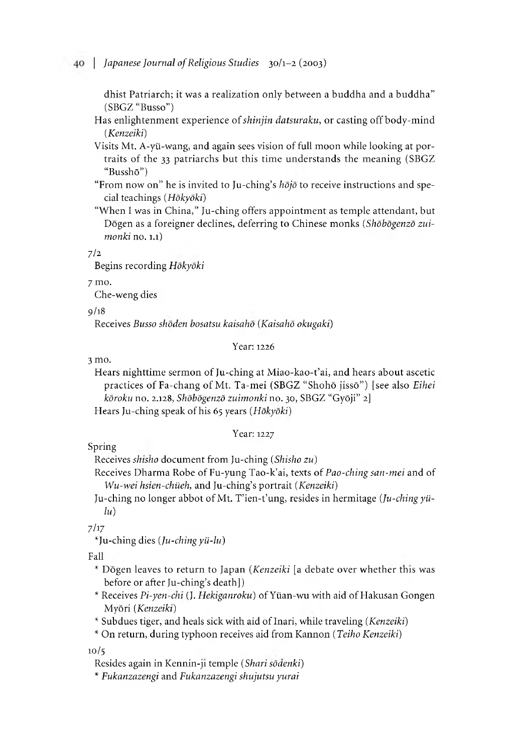dhist Patriarch; it was a realization only between a buddha and a buddha" (SBGZ "Busso")

- Has enlightenment experience of *shinjin datsuraku,* or casting off body-mind *(Kenzeiki)*
- Visits Mt. A-yii-wang, and again sees vision of full moon while looking at portraits of the 33 patriarchs but this time understands the meaning (SBGZ "Busshō")
- "From now on" he is invited to Ju-ching's *hojo* to receive instructions and special teachings *(Hokyoki)*

"When I was in China," Ju-ching offers appointment as temple attendant, but Dogen as a foreigner declines, deferring to Chinese monks *{Shobogenzo zuimonki* no. 1.1)

7/2

Begins recording *Hokyoki*

7 mo.

Che-weng dies

9/18

Receives *Busso shoden bosatsu kaisaho {Kaisaho okugaki)*

#### Year: 1226

3 mo.

Hears nighttime sermon of Ju-ching at Miao-kao-t'ai, and hears about ascetic practices of Fa-chang of Mt. Ta-mei (SBGZ "Shohō jissō") [see also *Eihei koroku* no. 2.128*,Shobogenzo zuimonki* no. 30,SBGZ "GyOji" 2]

Hears Ju-ching speak of his 65 years *(Hokyoki)*

#### Year: 1227

Spring

Receives *shisho* document from Ju-ching *(Shisho zu)*

Receives Dharma Robe of Fu-yung Tao-k'ai, texts of *Pao-ching san-mei* and of *Wu-wei hsien-chüeh,* and Ju-ching's portrait *(Kenzeiki)* 

Ju-ching no longer abbot of Mt. T'ien-t'ung, resides in hermitage (*Ju-ching yü*- $\ln$ 

7/17

★Ju-ching dies *(Ju-chingyii-lu)*

Fall

- \* Dogen leaves to return to Japan *(Kenzeiki* [a debate over whether this was before or after Ju-ching's death])
- Receives *Pi-yen-cnt* J. *Hekiganroku)* of Yiian-wu with aid of Hakusan Gongen Myori *(Kenzeiki)*
- *^* Subdues tiger, and heals sick with aid of Inari, while traveling *(Kenzeiki)*

★ On return, during typhoon receives aid from Kannon *(Teiho Kenzeiki)*

10/5

Resides again in Kennin-ji temple *(Shari sodenki)*

*^ Fukanzazengi* and *Fukanzazengi shujutsu yurai*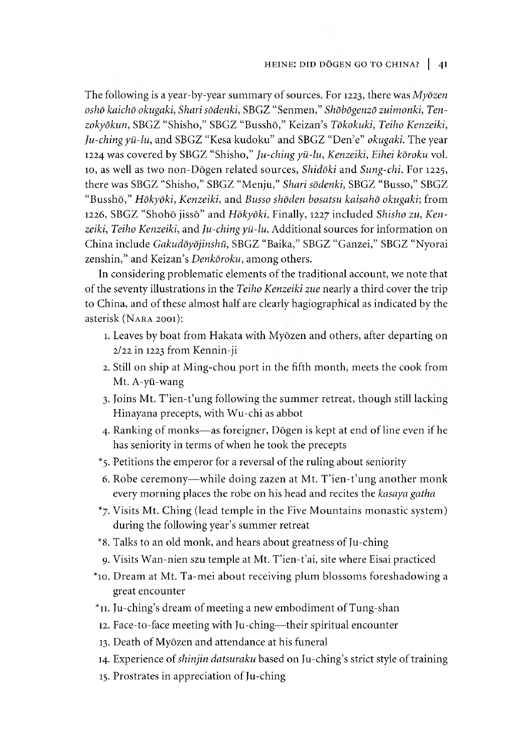The following is a year-by-year summary of sources. For 1223, there was *Myozen osho kaicho okugaki, Shari sodenki,* SBGZ "Senmen,,' *Shdbdgenzd zuimonki, Ten*zokyōkun, SBGZ "Shisho," SBGZ "Busshō," Keizan's *Tōkokuki, Teiho Kenzeiki*, *Ju-ching yii-lu,* and SBGZ "Kesa kudoku" and SBGZ "Den e" *okugaki.* The year 1224 was covered by SBGZ "Shisho," *Ju-ching yii-lu, Kenzeiki, Eihei koroku* vol. 10,as well as two non-Dogen related sources, *Shiddki* and *Sung-chi.* For 1225, there was SBGZ "Shisho," SBGZ "Menju," *Shari sodenki,* SBGZ "Busso," SBGZ C£Bussho/5 *Hokyoki, Kenzeiki,* and *Busso shoden bosatsu kaisaho okugaki;* from 1226, SBGZ "Shohō jissō" and *Hōkyōki*. Finally, 1227 included *Shisho zu*, Ken*zeiki, Teiho Kenzeiki,* and *Ju-ching yii-lu.* Additional sources for information on China include *Gakudōyōjinshū*, SBGZ "Baika," SBGZ "Ganzei," SBGZ "Nyorai zenshin," and Keizan's *Denkoroku*, among others.

In considering problematic elements of the traditional account, we note that of the seventy illustrations in the *Teiho Kenzeiki zue* nearly a third cover the trip to China, and of these almost half are clearly hagiographical as indicated by the asterisk (NARA 2001):

- 1. Leaves by boat from Hakata with Myōzen and others, after departing on 2/22 in 1223 from Kennin-ji
- 2. Still on ship at Ming-chou port in the fifth month, meets the cook from Mt. A-yü-wang
- 3. Joins Mt. T'ien-t'ung following the summer retreat, though still lacking Hinayana precepts, with Wu-chi as abbot
- 4. Ranking of monks— as foreigner, Dogen is kept at end of line even if he has seniority in terms of when he took the precepts
- $*_5$ . Petitions the emperor for a reversal of the ruling about seniority
- 6. Robe ceremony—while doing zazen at Mt. T'ien-t'ung another monk every morning places the robe on his head and recites the *kasaya gatha*
- $*_{7}$ . Visits Mt. Ching (lead temple in the Five Mountains monastic system) during the following year's summer retreat
- ^8. Talks to an old monk, and hears about greatness of Ju-ching
- 9. Visits Wan-nien szu temple at Mt. T'ien-t'ai, site where Eisai practiced
- ^10. Dream at Mt. Ta-mei about receiving plum blossoms foreshadowing a great encounter
- $*$ 11. Ju-ching's dream of meeting a new embodiment of Tung-shan
- 12. Face-to-face meeting with Ju-ching—their spiritual encounter
- 13. Death of Myozen and attendance at his funeral
- 14. Experience of *shinjin datsuraku* based on Ju-ching's strict style of training
- 15. Prostrates in appreciation of Ju-ching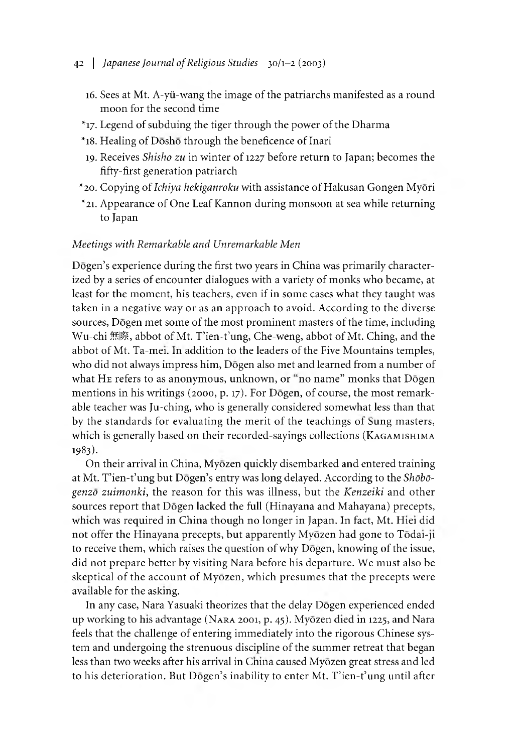- 16. Sees at Mt. A-yii-wang the image of the patriarchs manifested as a round moon for the second time
- $*$ 17. Legend of subduing the tiger through the power of the Dharma
- $*$ 18. Healing of Dōshō through the beneficence of Inari
- 19. Receives *Shisho zu* in winter of 1227 before return to Japan; becomes the fifty-first generation patriarch
- ^20. Copying of *Ichiya hekiganroku* with assistance of Hakusan Gongen Myori
- \*21. Appearance of One Leaf Kannon during monsoon at sea while returning to Japan

# *Meetings with Remarkable and Unremarkable Men*

Dogen's experience during the first two years in China was primarily characterized by a series of encounter dialogues with a variety of monks who became, at least for the moment, his teachers, even if in some cases what they taught was taken in a negative way or as an approach to avoid. According to the diverse sources, Dōgen met some of the most prominent masters of the time, including Wu-chi 無際, abbot of Mt. T'ien-t'ung, Che-weng, abbot of Mt. Ching, and the abbot of Mt. Ta-mei. in addition to the leaders of the Five Mountains temples, who did not always impress him, Dogen also met and learned from a number of what HE refers to as anonymous, unknown, or "no name" monks that Dōgen mentions in his writings (2000, p. 17). For Dōgen, of course, the most remarkable teacher was Ju-ching, who is generally considered somewhat less than that by the standards for evaluating the merit of the teachings of Sung masters, which is generally based on their recorded-sayings collections (Kagamishima 1983).

On their arrival in China, Myōzen quickly disembarked and entered training at Mt. T'ien-t'ung but Dōgen's entry was long delayed. According to the *Shōbōgenzo zuimonki,* the reason for this was illness, but the *Kenzeiki* and other sources report that Dogen lacked the full (Hinayana and Mahayana) precepts, which was required in China though no longer in Japan. In fact, Mt. Hiei did not offer the Hinayana precepts, but apparently Myōzen had gone to Tōdai-ji to receive them, which raises the question of why Dogen, knowing of the issue, did not prepare better by visiting Nara before his departure. We must also be skeptical of the account of Myōzen, which presumes that the precepts were available for the asking.

In any case, Nara Yasuaki theorizes that the delay Dōgen experienced ended up working to his advantage (NARA 2001, p. 45). Myōzen died in 1225, and Nara feels that the challenge of entering immediately into the rigorous Chinese system and undergoing the strenuous discipline of the summer retreat that began less than two weeks after his arrival in China caused Myōzen great stress and led to his deterioration. But Dōgen's inability to enter Mt. T'ien-t'ung until after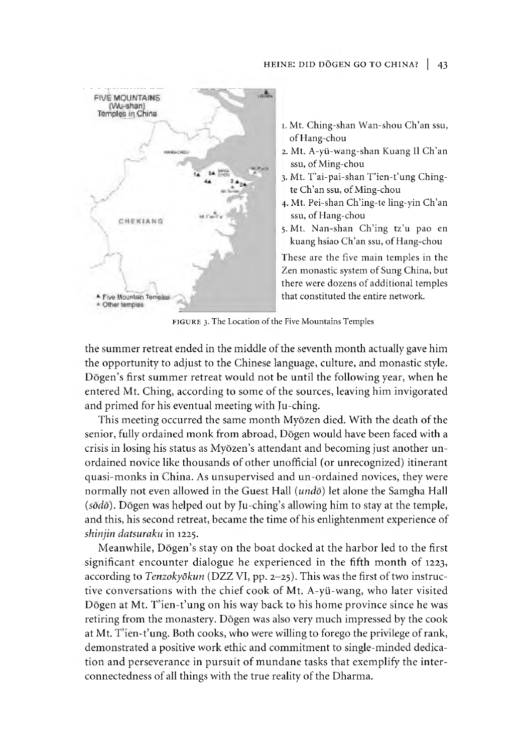#### HEINE: DID DŌGEN GO TO CHINA? | 43



- 1.Mt. Ching-shan Wan-shou Ch'an ssu, of Hang-chou
- 2. Mt. A-yti-wang-shan Kuang II Ch'an ssu, of Ming-chou
- 3. Mt. T'ai-pai-shan T'ien-t'ung Chingte Ch'an ssu, of Ming-chou
- 4. Mt. Pei-shan Ch'ing-te ling-yin Ch'an ssu, of Hang-chou
- 5. Mt. Nan-shan Ch'ing tz'u pao en kuang hsiao Ch'an ssu, of Hang-chou

These are the five main temples in the Zen monastic system of Sung China, but there were dozens of additional temples that constituted the entire network.

FIGURE 3. The Location of the Five Mountains Temples

the summer retreat ended in the middle of the seventh month actually gave him the opportunity to adjust to the Chinese language, culture, and monastic style. Dōgen's first summer retreat would not be until the following year, when he entered Mt. Ching, according to some of the sources, leaving him invigorated and primed for his eventual meeting with Ju-ching.

This meeting occurred the same month Myōzen died. With the death of the senior, fully ordained monk from abroad, Dōgen would have been faced with a crisis in losing his status as Myōzen's attendant and becoming just another unordained novice like thousands of other unofficial (or unrecognized) itinerant quasi-monks in China. As unsupervised and un-ordained novices, they were normally not even allowed in the Guest Hall *(undo)* let alone the Samgha Hall (sōdō). Dōgen was helped out by Ju-ching's allowing him to stay at the temple, and this, his second retreat, became the time of his enlightenment experience of *shinjin datsuraku* in 1225.

Meanwhile, Dogen's stay on the boat docked at the harbor led to the first significant encounter dialogue he experienced in the fifth month of 1223, according to *Tenzokydkun* (DZZ VI, pp. 2-25). This was the first of two instructive conversations with the chief cook of Mt. A-yii-wang, who later visited Dōgen at Mt. T'ien-t'ung on his way back to his home province since he was retiring from the monastery. Dogen was also very much impressed by the cook at Mt. T'ien-t'ung. Both cooks, who were willing to forego the privilege of rank, demonstrated a positive work ethic and commitment to single-minded dedication and perseverance in pursuit of mundane tasks that exemplify the interconnectedness of all things with the true reality of the Dharma.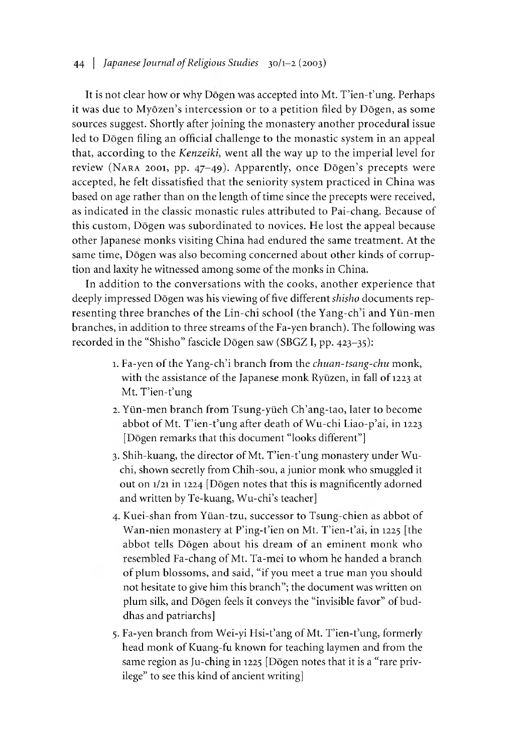# 44 | *Japanese Journal of Religious Studies* 30/1-2 (2003)

It is not clear how or why Dōgen was accepted into Mt. T'ien-t'ung. Perhaps it was due to Myōzen's intercession or to a petition filed by Dōgen, as some sources suggest. Shortly after joining the monastery another procedural issue led to Dogen filing an official challenge to the monastic system in an appeal that, according to the *Kenzeiki*, went all the way up to the imperial level for review (NARA 2001, pp. 47-49). Apparently, once Dōgen's precepts were accepted, he felt dissatisfied that the seniority system practiced in China was based on age rather than on the length of time since the precepts were received, as indicated in the classic monastic rules attributed to Pai-chang. Because of this custom, Dogen was subordinated to novices. He lost the appeal because other Japanese monks visiting China had endured the same treatment. At the same time, Dōgen was also becoming concerned about other kinds of corruption and laxity he witnessed among some of the monks in China.

In addition to the conversations with the cooks, another experience that deeply impressed Dogen was his viewing of five different *shisho* documents representing three branches of the Lin-chi school (the Yang-ch'i and Yün-men branches, in addition to three streams of the Fa-yen branch). The following was recorded in the "Shisho" fascicle Dōgen saw (SBGZ I, pp. 423-35):

- 1. Fa-yen of the Yang-ch'i branch from the *chuan-tsang-chu* monk, with the assistance of the Japanese monk Ryūzen, in fall of 1223 at Mt. T'ien-t'ung
- 2. Yün-men branch from Tsung-yüeh Ch'ang-tao, later to become abbot of Mt. T'ien-t'ung after death of Wu-chi Liao-p'ai, in 1223 [Dōgen remarks that this document "looks different"]
- 3. Shih-kuang, the director of Mt. T'ien-t'ung monastery under Wuchi, shown secretly from Chih-sou, a junior monk who smuggled it out on 1/21 in 1224 [Dogen notes that this is magnificently adorned and written by Te-kuang, Wu-chi's teacher]
- 4. Kuei-shan from Ylian-tzu, successor to Tsung-chien as abbot of Wan-nien monastery at P'ing-t'ien on Mt. T'ien-t'ai, in 1225 [the abbot tells Dogen about his dream of an eminent monk who resembled Fa-chang of Mt. Ta-mei to whom he handed a branch or plum blossoms, and said, "if you meet a true man you should not hesitate to give him this branch"; the document was written on plum silk, and Dogen feels it conveys the "invisible favor" of buddhas and patriarchs]
- 5. Fa-yen branch from Wei-yi Hsi-t'ang of Mt. T'ien-t'ung, formerly head monk of Kuang-fu known for teaching laymen and from the same region as Ju-ching in 1225 [Dōgen notes that it is a "rare privilege" to see this kind of ancient writing]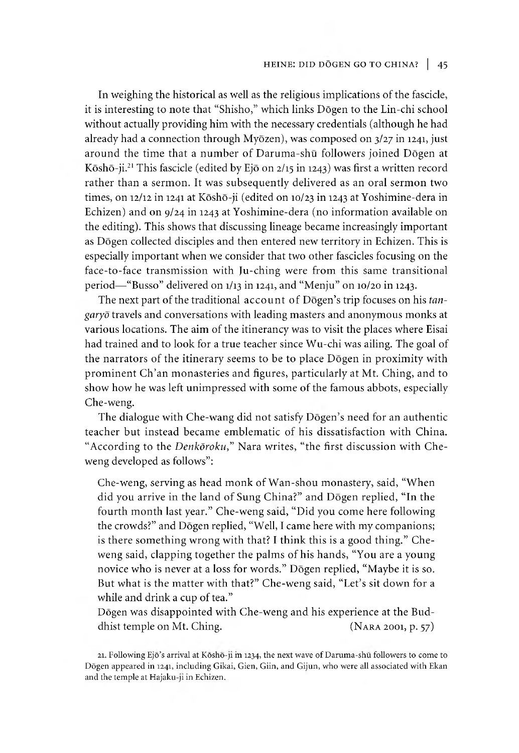#### HEINE: DID DŌGEN GO TO CHINA? | 45

In weighing the historical as well as the religious implications of the fascicle, it is interesting to note that "Shisho," which links Dogen to the Lin-chi school without actually providing him with the necessary credentials (although he had already had a connection through Myōzen), was composed on  $3/27$  in 1241, just around the time that a number of Daruma-shū followers joined Dōgen at Kōshō-ji.<sup>21</sup> This fascicle (edited by Ejō on 2/15 in 1243) was first a written record rather than a sermon. It was subsequently delivered as an oral sermon two times, on 12/12 in 1241 at Kōshō-ji (edited on 10/23 in 1243 at Yoshimine-dera in Echizen) and on 9/24 in 1243 at Yoshimine-dera (no information available on the editing). This shows that discussing lineage became increasingly important as Dogen collected disciples and then entered new territory in Echizen. This is especially important when we consider that two other fascicles focusing on the face-to-face transmission with Ju-ching were from this same transitional period—"Busso" delivered on  $1/13$  in 1241, and "Menju" on  $10/20$  in 1243.

The next part of the traditional account of Dōgen's trip focuses on his *tangaryo* travels and conversations with leading masters and anonymous monks at various locations. The aim of the itinerancy was to visit the places where Eisai had trained and to look for a true teacher since Wu-chi was ailing. The goal of the narrators of the itinerary seems to be to place Dogen in proximity with prominent Ch'an monasteries and figures, particularly at Mt. Ching, and to show how he was left unimpressed with some of the famous abbots, especially Che-weng.

The dialogue with Che-wang did not satisfy Dōgen's need for an authentic teacher but instead became emblematic of his dissatisfaction with China. "According to the *Denkdroku,"* Nara writes, "the first discussion with Cheweng developed as follows":

Che-weng, serving as head monk of Wan-shou monastery, said, "When did you arrive in the land of Sung China?" and Dogen replied, "In the fourth month last year." Che-weng said, "Did you come here following the crowds?" and Dōgen replied, "Well, I came here with my companions; is there something wrong with that? I think this is a good thing." Cheweng said, clapping together the palms of his hands, "You are a young novice who is never at a loss for words." Dogen replied, "Maybe it is so. But what is the matter with that?" Che-weng said, "Let's sit down for a while and drink a cup of tea."

Dogen was disappointed with Che-weng and his experience at the Buddhist temple on Mt. Ching. (NARA 2001, p. 57)

<sup>21.</sup> Following Ejō's arrival at Kōshō-ji m 1234, the next wave of Daruma-shū followers to come to Dōgen appeared in 1241, including Gikai, Gien, Giin, and Gijun, who were all associated with Ekan and the temple at Hajaku-ji in Echizen.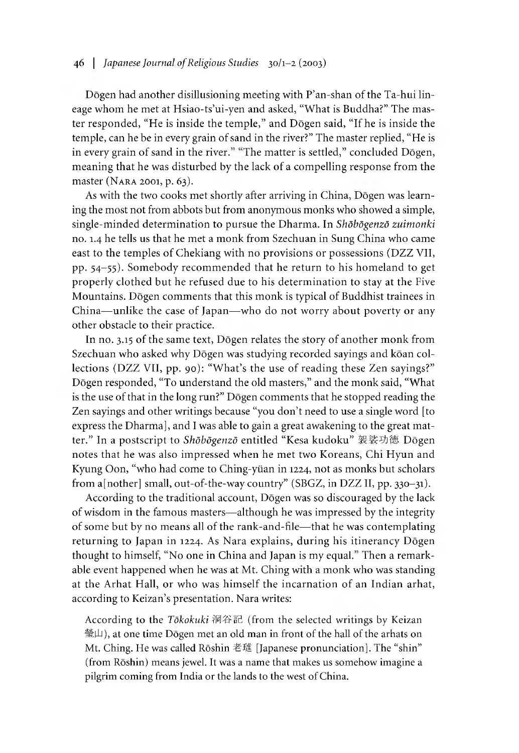Dōgen had another disillusioning meeting with P'an-shan of the Ta-hui lineage whom he met at Hsiao-ts'ui-yen and asked, "What is Buddha?" The master responded, "He is inside the temple," and Dogen said, "If he is inside the temple, can he be in every grain of sand in the river?" The master replied, "He is in every grain of sand in the river." "The matter is settled," concluded Dōgen, meaning that he was disturbed by the lack of a compelling response from the master (NARA 2001, p. 63).

As with the two cooks met shortly after arriving in China, Dōgen was learning the most not from abbots but from anonymous monks who showed a simple, single-minaed determination to pursue the Dharma. In *Shdbdgenzd zuimonki* no.1.4 he tells us that he met a monk from Szechuan in Sung China who came east to the temples of Chekiang with no provisions or possessions (DZZ VII, pp. 54-55). Somebody recommended that he return to his homeland to get properly clothed but he refused due to his determination to stay at the Five Mountains. Dogen comments that this monk is typical of Buddhist trainees in China— unlike the case of Japan—who do not worry about poverty or any other obstacle to their practice.

In no. 3.15 of the same text, Dogen relates the story of another monk from Szechuan who asked why Dōgen was studying recorded sayings and kōan collections (DZZ VII, pp. 90): "What's the use of reading these Zen sayings?" Dōgen responded, "To understand the old masters," and the monk said, "What is the use of that in the long run?" Dogen comments that he stopped reading the Zen sayings and other writings because "you don't need to use a single word [to express the Dharma], and I was able to gain a great awakening to the great matter." In a postscript to *Shdbdgenzd* entitled "Kesa kudoku" 裝裟功徳 Dogen notes that he was also impressed when he met two Koreans, Chi Hyun and Kyung Oon, "who had come to Ching-yüan in 1224, not as monks but scholars from a[nother] small, out-of-the-way country" (SBGZ, in DZZ II, pp.  $330-31$ ).

According to the traditional account, Dogen was so discouraged by the lack of wisdom in the famous masters— although he was impressed by the integrity of some but by no means all of the rank-and-nle— that he was contemplating returning to Japan in 1224. As Nara explains, during his itinerancy Dogen thought to himself, "No one in China and Japan is my equal." Then a remarkable event happened when he was at Mt. Ching with a monk who was standing at the Arhat Hall, or who was himself the incarnation of an Indian arhat, according to Keizan's presentation. Nara writes:

According to the *Tokokuki* 洞谷記 (from the selected writings by Keizan 瑩山), at one time Dōgen met an old man in front of the hall of the arhats on Mt. Ching. He was called Rōshin 老璡 [Japanese pronunciation]. The "shin" (from Roshin) means jewel. It was a name that makes us somehow imagine a pilgrim coming from India or the lands to the west of China.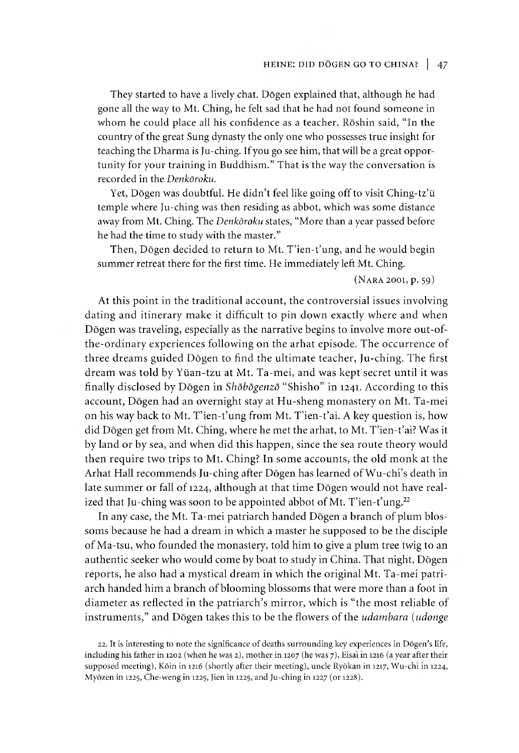#### HEINE: DID DŌGEN GO TO CHINA? | 47

They started to have a lively chat. Dogen explained that, although he had gone all the way to Mt. Ching, he felt sad that he had not found someone in whom he could place all his confidence as a teacher. Roshin said, "In the country of the great Sung dynasty the only one who possesses true insight for teaching the Dharma is Ju-ching. If you go see him, that will be a great opportunity for your training in Buddhism." That is the way the conversation is recorded in the *Denkdroku.*

Yet, Dogen was doubtful. He didn't feel like going off to visit Ching-tz'ü temple where Ju-ching was then residing as abbot, which was some distance away from Mt. Ching. The *Denkdroku* states, "More than a year passed before he had the time to study with the master."

Then, Dōgen decided to return to Mt. T'ien-t'ung, and he would begin summer retreat there for the first time. He immediately left Mt. Ching.

 $(NARA 2001, p. 59)$ 

At this point in the traditional account, the controversial issues involving dating and itinerary make it difficult to pin down exactly where and when Dōgen was traveling, especially as the narrative begins to involve more out-ofthe-ordinary experiences following on the arhat episode. The occurrence of three dreams guided Dogen to find the ultimate teacher, Ju-ching. The first dream was told by Ylian-tzu at Mt. Ta-mei, and was kept secret until it was finally disclosed by Dogen in *Shdbdgenzd* "Shisho in 1241. According to this account, Dogen had an overnight stay at Hu-sheng monastery on Mt. Ta-mei on his way back to Mt. T'ien-t'ung from Mt. T'ien-t'ai. A key question is, how did Dogen get from Mt. Ching, where he met the arhat, to Mt. T'ien-t'ai? Was it by land or by sea, and when did this happen, since the sea route theory would then require two trips to Mt. Ching? In some accounts, the old monk at the Arhat Hall recommends Ju-ching after Dōgen has learned of Wu-chi's death in late summer or fall of 1224, although at that time Dōgen would not have realized that Ju-ching was soon to be appointed abbot of Mt. T'ien-t'ung.<sup>22</sup>

In any case, the Mt. Ta-mei patriarch handed Dōgen a branch of plum blossoms because he had a dream in which a master he supposed to be the disciple of Ma-tsu, who founded the monastery, told him to give a plum tree twig to an authentic seeker who would come by boat to study in China. That night, Dōgen reports, he also had a mystical dream in which the original Mt. Ta-mei patriarch handed him a branch of blooming blossoms that were more than a foot in diameter as reflected in the patriarch's mirror, which is "the most reliable of instruments," and Dogen takes this to be the flowers of the *udambara (udonge*

<sup>22.</sup> It is interesting to note the significance of deaths surrounding key experiences in Dōgen's life, including his father in 1202 (when he was 2), mother in 1207 (he was 7), Eisai in 1216 (a year after their supposed meeting), Kõin in 1216 (shortly after their meeting), uncle Ryōkan in 1217, Wu-chi in 1224, Myōzen in 1225, Che-weng in 1225, Jien in 1225, and Ju-ching in 1227 (or 1228).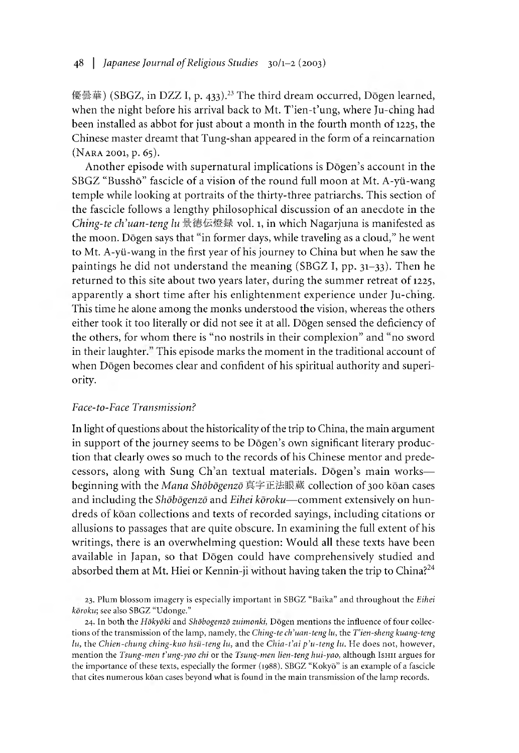優曇華) (SBGZ, in DZZ I, p. 433).<sup>23</sup> The third dream occurred, Dōgen learned, when the night before his arrival back to Mt. T'ien-t'ung, where Ju-ching had been installed as abbot for just about a month in the fourth month of 1225, the Chinese master dreamt that Tung-shan appeared in the form of a reincarnation (NARA 2001, p. 65).

Another episode with supernatural implications is Dogen's account in the SBGZ "Busshō" fascicle of a vision of the round full moon at Mt. A-yü-wang temple while looking at portraits of the thirty-three patriarchs. This section of the fascicle follows a lengthy philosophical discussion of an anecdote in the *Cnmg-te ch'uan-teng lu* 景徳伝燈録 vol.1,in which Nagarjuna is manifested as the moon. Dōgen says that "in former days, while traveling as a cloud," he went to Mt. A-yü-wang in the first year of his journey to China but when he saw the paintings he did not understand the meaning (SBGZ I, pp.  $31-33$ ). Then he returned to this site about two years later, during the summer retreat of 1225, apparently a short time after his enlightenment experience under Ju-ching. This time he alone among the monks understood the vision, whereas the others either took it too literally or did not see it at all. Dogen sensed the deficiency of the others, for whom there is "no nostrils in their complexion" and "no sword in their laughter." This episode marks the moment in the traditional account of when Dōgen becomes clear and confident of his spiritual authority and superiority.

#### *Face-to-Face Transmission?*

In light of questions about the historicality of the trip to China, the main argument in support of the journey seems to be Dōgen's own significant literary production that clearly owes so much to the records of his Chinese mentor and predecessors, along with Sung Ch'an textual materials. Dōgen's main works beginning with the *Mana Shōbōgenzō* 真字正法眼蔵 collection of 300 kōan cases and including the *Shdbdgenzd* and *Eihei koroku*— comment extensively on hundreds or koan collections and texts of recorded sayings, including citations or allusions to passages that are quite obscure. In examining the full extent of his writings, there is an overwhelming question: Would all these texts have been available in Japan, so that Dogen could have comprehensively studied and absorbed them at Mt. Hiei or Kennin-ji without having taken the trip to China?<sup>24</sup>

23. Plum blossom imagery is especially important in SBGZ "Baika" and throughout the *Eihei koroku;* see also SBGZ "Udonge."

24. In both the *Hokyoki* and *Shdbogenzd zuimonki,* Dogen mentions the influence of four collections of the transmission of the lamp, namely, the *Ching-te ch'uan-teng lu,* the *T'ien-sheng kuang-teng lu,* the *Chien-chung ching-kuo hsu-teng lu,* and the *Cnia-t'ai p u-teng lu.* He does not, however, mention the *Tsung-men t'ung-yao chi* or the *Tsung-men lien-teng hui-yao*, although Ishii argues for the importance of these texts, especially the former (1988). SBGZ "Kokyō" is an example of a fascicle that cites numerous koan cases beyond what is found in the main transmission of the lamp records.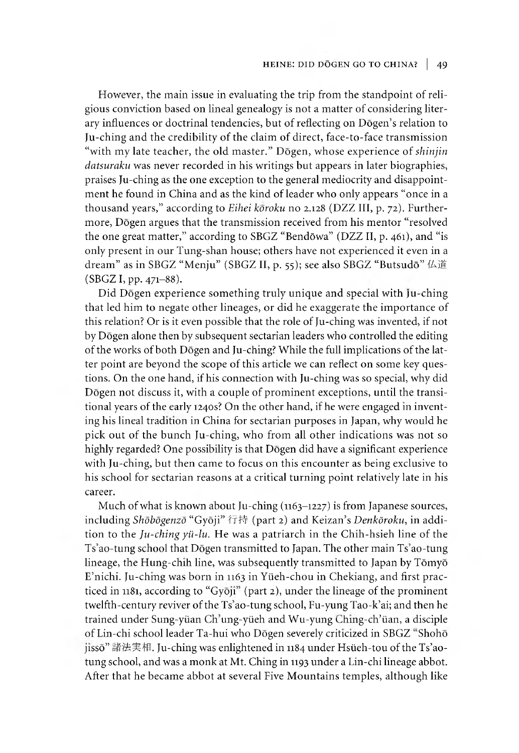However, the main issue in evaluating the trip from the standpoint of religious conviction based on lineal genealogy is not a matter of considering literary influences or doctrinal tendencies, but of reflecting on Dōgen's relation to Ju-ching and the credibility of the claim of direct, face-to-face transmission "with my late teacher, the old master." Dogen, whose experience of *shinjin datsuraku* was never recorded in his writings but appears in later biographies, praises Ju-ching as the one exception to the general mediocrity and disappointment he found in China and as the kind of leader who only appears "once in a thousand years," according to *Eihei koroku* no 2.128 (DZZ III, p. 72). Furthermore, Dogen argues that the transmission received from his mentor "resolved the one great matter," according to SBGZ "Bendōwa" (DZZ II, p. 461), and "is only present in our Tung-shan house; others have not experienced it even in a dream" as in SBGZ "Menju" (SBGZ II, p. 55); see also SBGZ "Butsudō" 仏道  $(SBGZ I, pp. 471-88).$ 

Did Dogen experience something truly unique and special with ju-ching that led him to negate other lineages, or did he exaggerate the importance of this relation? Or is it even possible that the role of Ju-ching was invented, if not by Dōgen alone then by subsequent sectarian leaders who controlled the editing of the works of both Dogen and Ju-chmg? While the full implications of the latter point are beyond the scope of this article we can reflect on some key questions. On the one hand, if his connection with Ju-ching was so special, why did Dogen not discuss it, with a couple of prominent exceptions, until the transitional years of the early 1240s? On the other hand, if he were engaged in inventing his lineal tradition in China for sectarian purposes in Japan, why would he pick out of the bunch Ju-ching, who from all other indications was not so highly regarded? One possibility is that Dōgen did have a significant experience with Ju-ching, but then came to focus on this encounter as being exclusive to his school for sectarian reasons at a critical turning point relatively late in his career.

Much of what is known about Ju-ching (1163-1227) is from Japanese sources, including *Shōbōgenzō* "Gyōji" 行持 (part 2) and Keizan's *Denkōroku*, in addition to the *Ju-ching yii-lu.* He was a patriarch in the Chih-hsieh line of the 1 s ao-tung school that Dogen transmitted to Japan. The other main Ts ao-tung lineage, the Hung-chih line, was subsequently transmitted to Japan by Tōmyō E'nichi. Ju-chmg was born in 1163 in Ylieh-chou in Chekiang, and first practiced in 1181, according to "Gyōji" (part 2), under the lineage of the prominent twelfth-century reviver of the Ts'ao-tung school, Fu-yung Tao-k'ai; and then he trained under Sung-yüan Ch'ung-yüeh and Wu-yung Ching-ch'üan, a disciple of Lin-chi school leader Ta-hui who Dōgen severely criticized in SBGZ "Shohō jissō" 諸法実相. Ju-ching was enlightened in 1184 under Hsüeh-tou of the Ts'aotung school, and was a monk at Mt. Ching in 1193 under a Lin-chi lineage abbot. After that he became abbot at several Five Mountains temples, although like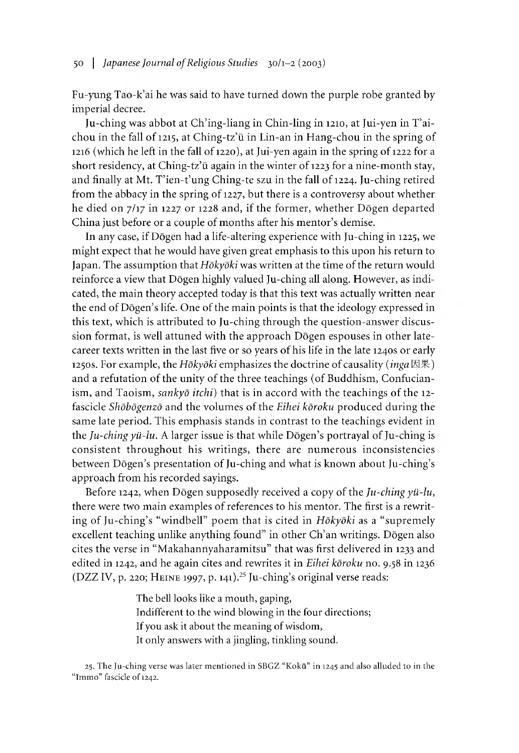Fu-yung Tao-k ai he was said to have turned down the purple robe granted by imperial decree.

Ju-ching was abbot at Ch'ing-liang in Chin-ling in 1210, at Jui-yen in T'aichou in the fall of 1215, at Ching-tz'ü in Lin-an in Hang-chou in the spring of 1216 (which he left in the fall of 1220), at Jui-yen again in the spring of 1222 for a short residency, at Ching-tz'ü again in the winter of 1223 for a nine-month stay, and finally at Mt. T'ien-t'ung Ching-te szu in the fall of 1224. Ju-ching retired from the abbacy in the spring of 1227, but there is a controversy about whether he died on 7/17 in 1227 or 1228 and, if the former, whether Dogen departed China just before or a couple of months after his mentor's demise.

In any case, if Dogen had a life-altering experience with Ju-ching in 1225, we might expect that he would have given great emphasis to this upon his return to Japan. The assumption that *Hokyoki* was written at the time of the return would reinforce a view that Dōgen highly valued Ju-ching all along. However, as indicated, the main theory accepted today is that this text was actually written near the end of Dōgen's life. One of the main points is that the ideology expressed in this text, which is attributed to Ju-ching through the question-answer discussion format, is well attuned with the approach Dōgen espouses in other latecareer texts written in the last five or so years of his life in the late 1240s or early 1250s. For example, the *Hokyoki* emphasizes the doctrine of causality *(inga* 因果) and a refutation of the unity of the three teachings (of Buddhism, Confucianism, and Taoism, *sankyō itchi*) that is in accord with the teachings of the 12fascicle *Shdbdgenzd* and the volumes of the *Eihei koroku* produced during the same late period. This emphasis stands in contrast to the teachings evident in the  $Ju$ -ching  $y\ddot{u}$ -lu. A larger issue is that while Dōgen's portrayal of Ju-ching is consistent throughout his writings, there are numerous inconsistencies between Dōgen's presentation of Ju-ching and what is known about Ju-ching's approach from his recorded sayings.

Before 1242, when Dōgen supposedly received a copy of the *Ju-ching yü-lu*, there were two main examples of references to his mentor. The first is a rewriting of Ju-ching's "windbell" poem that is cited in *Hōkyōki* as a "supremely excellent teaching unlike anything found" in other Ch'an writings. Dōgen also cites the verse in "Makahannyaharamitsu" that was first delivered in 1233 and edited in 1242, and he again cites and rewrites it in *Eihei koroku* no. 9.58 in 1236 (DZZ IV, p. 220; HEINE 1997, p. 141).<sup>25</sup> Ju-ching's original verse reads:

> The bell looks ike a mouth, gaping, Indifferent to the wind blowing in the four directions; If you ask it about the meaning of wisdom, It only answers with a jingling, tinkling sound.

25. The Ju-ching verse was later mentioned in SBGZ "KokG" in 1245 and also alluded to in the "Immo" fascicle of 1242.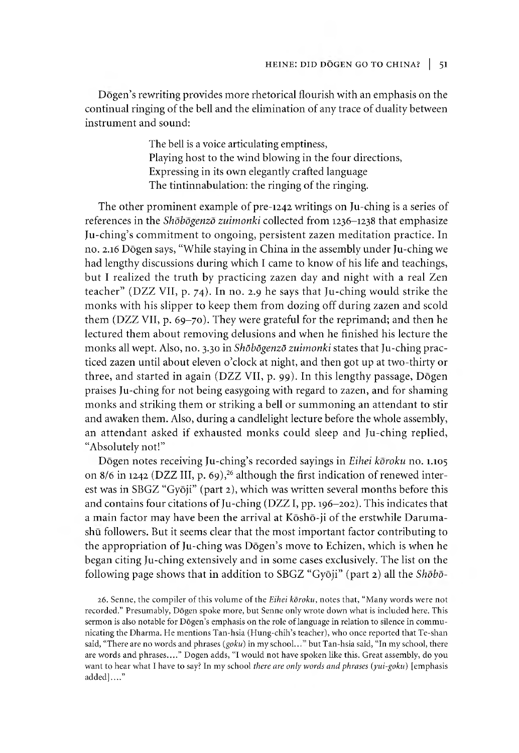Dōgen's rewriting provides more rhetorical flourish with an emphasis on the continual ringing of the bell and the elimination of any trace of duality between instrument and sound:

> The bell is a voice articulating emptiness, Playing host to the wind blowing in the four directions, Expressing in its own elegantly crafted language The tintinnabulation: the ringing of the ringing.

The other prominent example of pre-1242 writings on Ju-ching is a series of references in the *Shobogenzo zuimonki* collected from 1236-1238 that emphasize Ju-ching's commitment to ongoing, persistent zazen meditation practice. In no. 2.16 Dogen says, "While staying in China in the assembly under Ju-ching we had lengthy discussions during which I came to know of his life and teachings, but I realized the truth by practicing zazen day and night with a real Zen teacher" (DZZ VII, p. 74). In no. 2.9 he says that Ju-ching would strike the monks with his slipper to keep them from dozing off during zazen and scold them (DZZ VII, p. 69-70). They were grateful for the reprimand; and then he lectured them about removing delusions and when he finished his lecture the monks all wept. Also, no. 3.30 in *Shdbdgenzd zuimonki* states that Ju-ching practiced zazen until about eleven o'clock at night, and then got up at two-thirty or three, and started in again (DZZ VII, p. 99). In this lengthy passage,  $\overline{\text{Dogen}}$ praises Ju-ching for not being easygoing with regard to zazen, and for shaming monks and striking them or striking a bell or summoning an attendant to stir and awaken them. Also, during a candlelight lecture before the whole assembly, an attendant asked if exhausted monks could sleep and Ju-ching replied, "Absolutely not!"

Dōgen notes receiving Ju-ching's recorded sayings in *Eihei kōroku* no. 1.105 on 8/6 in 1242 (DZZ III, p. 69),<sup>26</sup> although the first indication of renewed interest was in SBGZ "Gyōji" (part 2), which was written several months before this and contains four citations of Ju-ching (DZZ I, pp. 196-202). This indicates that a main factor may have been the arrival at Kōshō-ji of the erstwhile Darumashu followers. But it seems clear that the most important factor contributing to the appropriation of Ju-ching was Dōgen's move to Echizen, which is when he began citing Ju-ching extensively and in some cases exclusively. The list on the following page shows that in addition to SBGZ "Gyōji" (part 2) all the *Shōbō*-

*26.* Senne, the compiler of this volume of the *Eihei koroku,* notes that, "Many words were not recorded." Presumably, Dogen spoke more, but Senne only wrote down what is included here. This sermon is also notable for Dōgen's emphasis on the role of language in relation to silence in communicating the Dharma. He mentions Tan-hsia (Hung-chih's teacher), who once reported that Te-shan said, "There are no words and phrases (goku) in my school..." but Tan-hsia said, "In my school, there are words and phrases...." Dogen adds, "I would not have spoken like this. Great assembly, do you want to hear what I have to say? In my school *there are only words and phrases (yui-goku)* [emphasis added]...."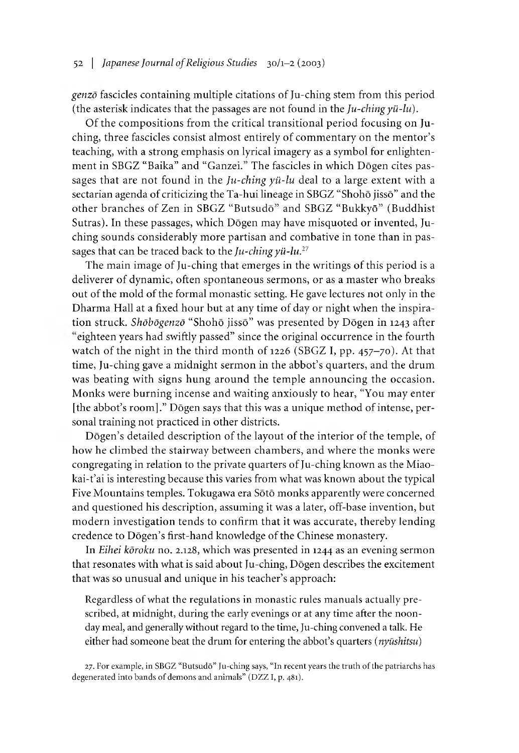# 52 | *Japanese Journal of Religious Studies* 30/1-2 (2003)

*genzo* fascicles containing multiple citations of Ju-ching stem from this period (the asterisk indicates that the passages are not found in the *Ju-ching yii-lu).*

Of the compositions from the critical transitional period focusing on Juching, three fascicles consist almost entirely of commentary on the mentor's teaching, with a strong emphasis on lyrical imagery as a symbol for enlightenment in SBGZ "Baika" and "Ganzei." The fascicles in which Dōgen cites passages that are not found in the *Ju-ching yii-lu* deal to a large extent with a sectarian agenda of criticizing the Ta-hui lineage in SBGZ "Shohō jissō" and the other branches of Zen in SBGZ "Butsudō" and SBGZ "Bukkyō" (Buddhist Sutras). In these passages, which Dogen may have misquoted or invented, Juching sounds considerably more partisan and combative in tone than in passages that can be traced back to the *Ju-ching yii-lu.27*

The main image of Ju-ching that emerges in the writings of this period is a deliverer of dynamic, often spontaneous sermons, or as a master who breaks out of the mold of the formal monastic setting. He gave lectures not only in the Dharma Hall at a fixed hour but at any time of day or night when the inspiration struck. Shōbōgenzō "Shohō jissō" was presented by Dōgen in 1243 after eighteen years had swiftly passed" since the original occurrence in the fourth watch of the night in the third month of 1226 (SBGZ I, pp. 457-70). At that time, Ju-ching gave a midnight sermon in the abbot's quarters, and the drum was beating with signs hung around the temple announcing the occasion. Monks were burning incense and waiting anxiously to hear, "You may enter [the abbot's room]." Dōgen says that this was a unique method of intense, personal training not practiced in other districts.

Dogen's detailed description of the layout of the interior of the temple, of how he climbed the stairway between chambers, and where the monks were congregating in relation to the private quarters of Ju-ching known as the Miaokai-t'ai is interesting because this varies from what was known about the typical Five Mountains temples. Tokugawa era Sōtō monks apparently were concerned and questioned his description, assuming it was a later, ofr-base invention, but modern investigation tends to confirm that it was accurate, thereby lending credence to Dōgen's first-hand knowledge of the Chinese monastery.

In *Eihei koroku* no. 2.128, which was presented in 1244 as an evening sermon that resonates with what is said about Ju-ching,  $D\bar{\sigma}$ gen describes the excitement that was so unusual and unique in his teacher's approach:

Regardless of what the regulations in monastic rules manuals actually prescribed, at midnight, during the early evenings or at any time after the noonday meal, and generally without regard to the time, Ju-ching convened a talk. He either had someone beat the drum for entering the abbot's quarters *(nyushitsu)*

27. For example, in SBGZ "Butsudō" Ju-ching says, "In recent years the truth of the patriarchs has degenerated into bands of demons and animals" (DZZ I, p. 481).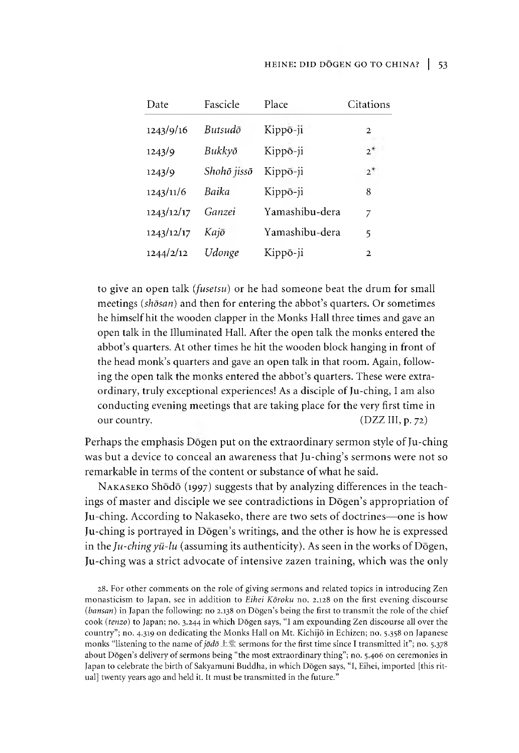# HEINE: DID DŌGEN GO TO CHINA? | 53

| Date       | Fascicle    | Place          | Citations    |
|------------|-------------|----------------|--------------|
| 1243/9/16  | Butsudō     | Kippō-ji       | 2            |
| 1243/9     | Bukkyō      | Kippō-ji       | $2^*$        |
| 1243/9     | Shohō jissō | Kippō-ji       | $2^*$        |
| 1243/11/6  | Baika       | Kippō-ji       | 8            |
| 1243/12/17 | Ganzei      | Yamashibu-dera | 7            |
| 1243/12/17 | Kajō        | Yamashibu-dera | 5            |
| 1244/2/12  | Udonge      | Kippō-ji       | $\mathbf{2}$ |

to give an open talk *(fusetsu)* or he had someone beat the drum for small meetings *(shōsan)* and then for entering the abbot's quarters. Or sometimes he himself hit the wooden clapper in the Monks Hall three times and gave an open talk in the Illuminated Hall. After the open talk the monks entered the abbot's quarters. At other times he hit the wooden block hanging in front of the head monk's quarters and gave an open talk in that room. Again, following the open talk the monks entered the abbot's quarters. These were extraordinary, truly exceptional experiences! As a disciple of Ju-ching, I am also conducting evening meetings that are taking place for the very first time in our country. (DZZ III, p. 72)

Perhaps the emphasis Dōgen put on the extraordinary sermon style of Ju-ching was but a device to conceal an awareness that Ju-ching's sermons were not so remarkable in terms of the content or substance of what he said.

NAKASEKO Shodo (1997) suggests that by analyzing differences in the teachings of master and disciple we see contradictions in Dōgen's appropriation of Ju-ching. According to Nakaseko, there are two sets of doctrines— one is how Ju-ching is portrayed in Dōgen's writings, and the other is how he is expressed in the *Ju-ching yii-lu* (assuming its authenticity). As seen in the works of Dogen, Ju-ching was a strict advocate of intensive zazen training, which was the only

28. For other comments on the role of giving sermons and related topics in introducing Zen monasticism to Japan, see in addition to *Eihei Koroku* no. 2.128 on the first evening discourse *(bansan)* in Japan the following: no 2.138 on Dōgen's being the first to transmit the role of the chief cook *(tenzo)* to Japan; no. 3.244 in which Dogen says, "I am expounding Zen discourse all over the country"; no. 4.319 on dedicating the Monks Hall on Mt. Kichijo in Echizen; no. 5.358 on Japanese monks "listening to the name of *jodo* 上堂 sermons for the first time since I transmitted it"; no. 5.378 about Dōgen's delivery of sermons being "the most extraordinary thing"; no. 5.406 on ceremonies in Japan to celebrate the birth of Sakyamuni Buddha, in which Dōgen says, "I, Eihei, imported [this ritual] twenty years ago and held it. It must be transmitted in the future."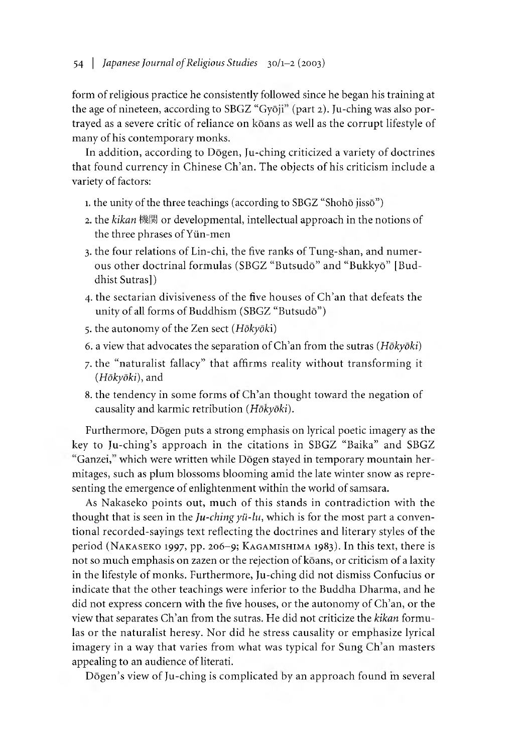form of religious practice he consistently followed since he began his training at the age of nineteen, according to SBGZ "Gyōji" (part 2). Ju-ching was also portrayed as a severe critic of reliance on koans as well as the corrupt lifestyle of many of his contemporary monks.

In addition, according to Dogen, Ju-ching criticized a variety of doctrines that found currency in Chinese Ch'an. The objects of his criticism include a variety of factors:

- 1. the unity of the three teachings (according to SBGZ "Shohō jissō")
- 2. the *kikan* 機関 or developmental, intellectual approach in the notions of the three phrases of Yiin-men
- 3. the four relations of Lin-chi, the five ranks of Tung-shan, and numerous other doctrinal formulas (SBGZ "Butsud6" and "Bukky6" [Buddhist Sutras])
- 4. the sectarian divisiveness of the five houses of Ch'an that defeats the unity of all forms of Buddhism  $(SBGZ "Butsudō")$
- 5. the autonomy of the Zen sect *(Hokyoki)*
- 6. a view that advocates the separation of Ch'an from the sutras *(Hokyoki)*
- 7. the "naturalist fallacy" that affirms reality without transforming it *(Hokyoki),* and
- 8. the tendency in some forms of Ch'an thought toward the negation of causality and karmic retribution *(HoKyoki).*

Furthermore, Dōgen puts a strong emphasis on lyrical poetic imagery as the key to Ju-ching's approach in the citations in SBGZ "Baika" and SBGZ "Ganzei," which were written while Dōgen stayed in temporary mountain hermitages, such as plum blossoms blooming amid the late winter snow as representing the emergence of enlightenment within the world of samsara.

As Nakaseko points out, much of this stands in contradiction with the thought that is seen in the *Ju-ching yü-lu*, which is for the most part a conventional recorded-sayings text reflecting the doctrines and literary styles of the period (NAKASEKO 1997, pp. 206-9; KAGAMISHIMA 1983). In this text, there is not so much emphasis on zazen or the rejection of kōans, or criticism of a laxity in the lifestyle of monks. Furthermore, Ju-ching did not dismiss Confucius or indicate that the other teachings were inferior to the Buddha Dharma, and he did not express concern with the five houses, or the autonomy of Ch'an, or the view that separates Ch'an from the sutras. He did not criticize the *kikan* formulas or the naturalist heresy. Nor did he stress causality or emphasize lyrical imagery in a way that varies from what was typical for Sung Ch'an masters appealing to an audience of literati.

Dogen's view of Ju-ching is complicated by an approach found in several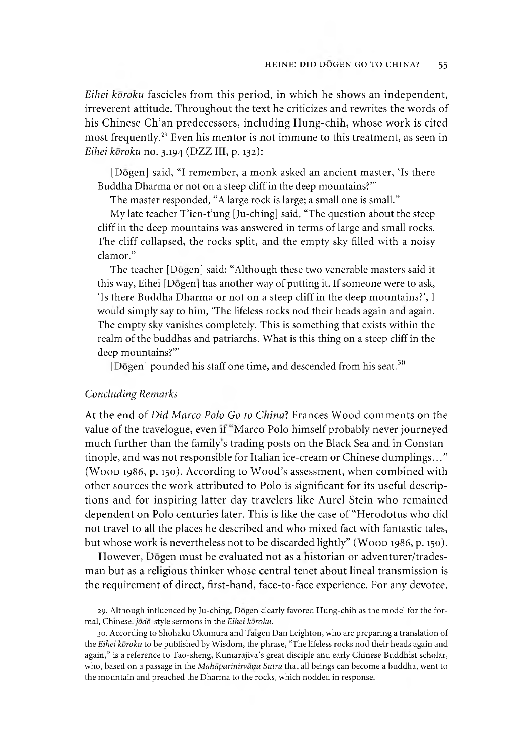*Eihei koroku* fascicles from this period, in which he shows an independent, irreverent attitude. Throughout the text he criticizes and rewrites the words of his Chinese Ch'an predecessors, including Hung-chih, whose work is cited most frequently.<sup>29</sup> Even his mentor is not immune to this treatment, as seen in *Eihei kōroku* no. 3.194 (DZZ III, p. 132):

[Dōgen] said, "I remember, a monk asked an ancient master, 'Is there Buddha Dharma or not on a steep cliff in the deep mountains?"

The master responded, "A large rock is large; a small one is small."

My late teacher  $T'$ ien-t'ung [Ju-ching] said, "The question about the steep cliff in the deep mountains was answered in terms of large and small rocks. The cliff collapsed, the rocks split, and the empty sky filled with a noisy clamor."

The teacher [Dogen] said: "Although these two venerable masters said it this way, Eihei [Dōgen] has another way of putting it. If someone were to ask, 'Is there Buddha Dharma or not on a steep cliff in the deep mountains?', I would simply say to him, 'The lifeless rocks nod their heads again and again. The empty sky vanishes completely. This is something that exists within the realm of the buddhas and patriarchs. What is this thing on a steep cliff in the deep mountains?""

[Dōgen] pounded his staff one time, and descended from his seat.<sup>30</sup>

#### *Concluding Remarks*

At the end of *Did Marco Polo Go to China7.* Frances Wood comments on the value of the travelogue, even if "Marco Polo himself probably never journeyed much further than the family's trading posts on the Black Sea and in Constantinople, and was not responsible for Italian ice-cream or Chinese dumplings..." (Woop 1986, p. 150). According to Wood's assessment, when combined with other sources the work attributed to Polo is significant for its useful descriptions and for inspiring latter day travelers like Aurel Stein who remained dependent on Polo centuries later. This is like the case of "Herodotus who did not travel to all the places he described and who mixed fact with fantastic tales, but whose work is nevertheless not to be discarded lightly" (WOOD 1986, p. 150).

However, Dōgen must be evaluated not as a historian or adventurer/tradesman but as a religious thinker whose central tenet about lineal transmission is the requirement of direct, first-hand, face-to-face experience. For any devotee,

<sup>29.</sup> Although influenced by Ju-ching, Dogen clearly favored Hung-chih as the model for the formal, Chinese, *jodo-style* sermons in the *Eihei koroku.*

<sup>30.</sup> According to Shohaku Okumura and 1 aigen Dan Leighton, who are preparing a translation of the *Eihei koroku* to be published by Wisdom, the phrase, "The lifeless rocks nod their heads again and again," is a reference to Tao-sheng, Kumarajiva's great disciple and early Chinese Buddhist scholar, who, based on a passage in the *Mahaparinirvana Sutra* that all beings can become a buddha, went to the mountain and preached the Dharma to the rocks, which nodded in response.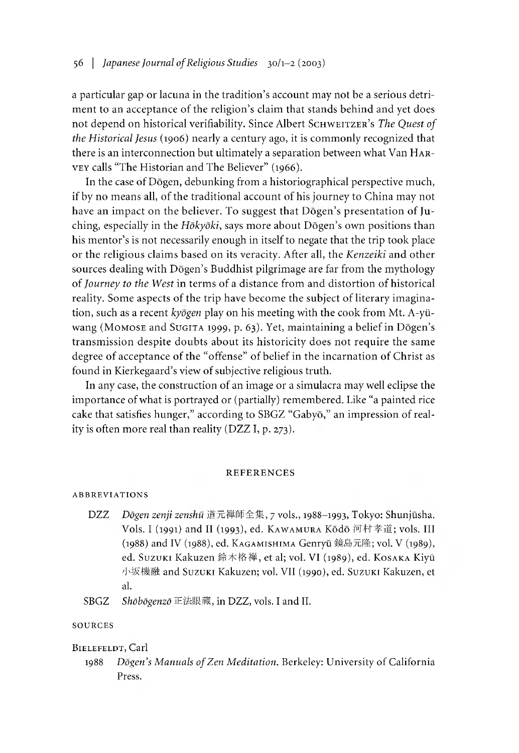a particular gap or lacuna in the tradition's account may not be a serious detriment to an acceptance of the religion's claim that stands behind and yet does not depend on historical verifiability. Since Albert SCHWEITZER's *The Quest of the Historical Jesus* (1906) nearly a century ago, it is commonly recognized that there is an interconnection but ultimately a separation between what Van HARvey calls "The Historian and The Believer" (1966).

In the case of Dogen, debunking from a historiographical perspective much, if by no means all, of the traditional account of his journey to China may not have an impact on the believer. To suggest that Dōgen's presentation of Juching, especially in the *Hōkyōki*, says more about Dōgen's own positions than his mentor's is not necessarily enough in itself to negate that the trip took place or the religious claims based on its veracity. After all, the *Kenzeiki* and other sources dealing with Dōgen's Buddhist pilgrimage are far from the mythology of *Journey to the West* in terms of a distance from and distortion of historical reality. Some aspects of the trip have become the subject of literary imagination, such as a recent *kyogen* play on his meeting with the cook from Mt. A-yiiwang (MOMOSE and SUGITA 1999, p. 63). Yet, maintaining a belief in Dōgen's transmission despite doubts about its historicity does not require the same degree of acceptance of the "offense" of belief in the incarnation of Christ as found in Kierkegaard's view of subjective religious truth.

In any case, the construction of an image or a simulacra may well eclipse the importance of what is portrayed or (partially) remembered. Like "a painted rice cake that satisfies hunger," according to SBGZ "Gabyō," an impression of reality is often more real than reality (DZZ I, p. 273).

#### R E F E R E N C E S

#### ABBREVIATIONS

- DZZ *Dogen zenji zenshu* 道元禅師全集*,y* vols., 1988-1993, Tokyo: Shunjusha. Vols. I (1991) and II (1993), ed. KAWAMURA Kōdō 河村孝道; vols. III (1988) and IV (1988), ed. Kagamishima Genryu 鏡島元隆; vol.V (1989), ed. Suzuki Kakuzen 鈴木格禅, et al; vol. VI (1989), ed. KosAKA Kiyū 小坂機融 and Suzuki Kakuzen; vol. VII (1990), ed. Suzuki Kakuzen, et al.
- SBGZ *Shdbdgenzd*正法眼蔵,in DZZ, vols. I and II.

#### **SOURCES**

#### BIELEFELDT, Carl

1988 *Dozen's Manuals of Zen Meditation.* Berkeley: University of California Press.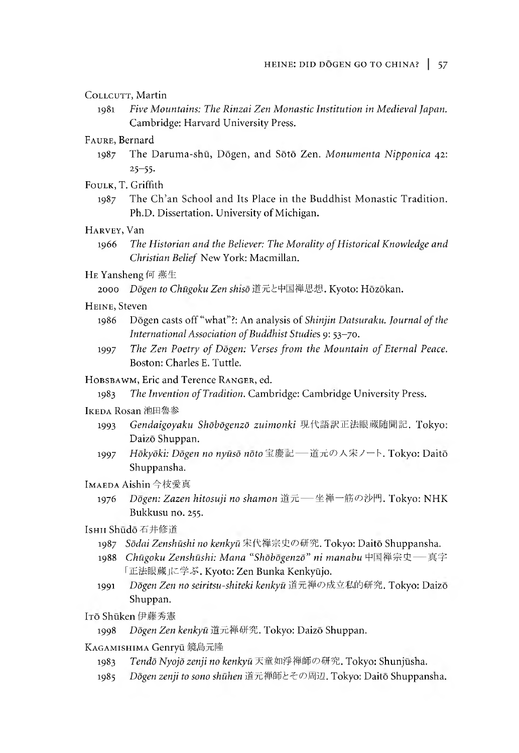## COLLCUTT, Martin

1981 *Five Mountains: The Rinzai Zen Monastic Institution in Medieval Japan.* Cambridge: Harvard University Press.

# Faure, Bernard

1987 The Daruma-shu, Dogen, and Soto Zen. *Monumenta Nipponica* 42: 25-55.

#### Foulk, T. Griffith

1987 The Ch'an School and Its Place in the Buddhist Monastic Tradition. Ph.D. Dissertation. University of Michigan.

# Harvey, Van

1966 *The Historian and the Believer: The Morality of Historical Knowledge and Christian Belief.* New York: Macmillan.

# He Yansheng 何燕生

2000 *Dogen to Chii^oku Zen shiso*道元と中国禅思想.Kyoto: Hozokan.

# HEINE, Steven

- 1986 Dogen casts off "what"?: An analysis of *Shinjin Datsuraku. Journal of the International Association ofBuddnist Studies* 9: 53-70.
- 1997 *The Zen Poetry of Dogen: Verses from the Mountain of Eternal Peace.* Boston: Charles E. Tuttle.

#### HOBSBAWM, Eric and Terence RANGER, ed.

1983 *The Invention of Tradition.* Cambridge: Cambridge University Press.

#### Ikeda Rosan池田魯参

- 1993 *Gendaigoyaku Shdbdgenzd zuimonki* 現代語訳正法眼蔵随聞記. Tokyo: Daizō Shuppan.
- 1997 *Hōkyōki: Dōgen no nyūsō nōto* 宝慶記 道元の人宋ノート. Tokyo: Daitō Shuppansha.

# Imaeda Aishin今枝愛真

1976 *Dogen: Zazen hitosuji no shamon* 道元— 坐禅一筋の沙門. Tokyo: NHK Bukkusu no. 255.

# Ishu Shūdō 石井修道

- 1987 Sodai Zenshūshi no kenkyū 宋代禅宗史の研究. Tokyo: Daitō Shuppansha.
- 1988 Chūgoku Zenshūshi: Mana "Shōbōgenzō" ni manabu 中国禅宗史— 真字 「正法眼蔵」に学ぶ. Kyoto: Zen Bunka Kenkyūjo.
- 1991 *Dogen Zen no seiritsu-shiteki kenkyu* 道元禅の成立私的研究. Tokyo: Daizo Shuppan.

Irō Shūken 伊藤秀憲

# 1998 *Dogen Zen kenkyu*道元禅研究. Tokyo: Daizo Shuppan.

- Kagamishima Genryu 鏡島元隆
	- 1983 *Tendo Nyojo zenji no kenkyu*天童如淨禅師の研究.Tokyo: Shunjusha.
	- 1985 *Dogen zenji to sono shunen* 道元禅師どその間辺.Tokyo: Daito Shuppansna.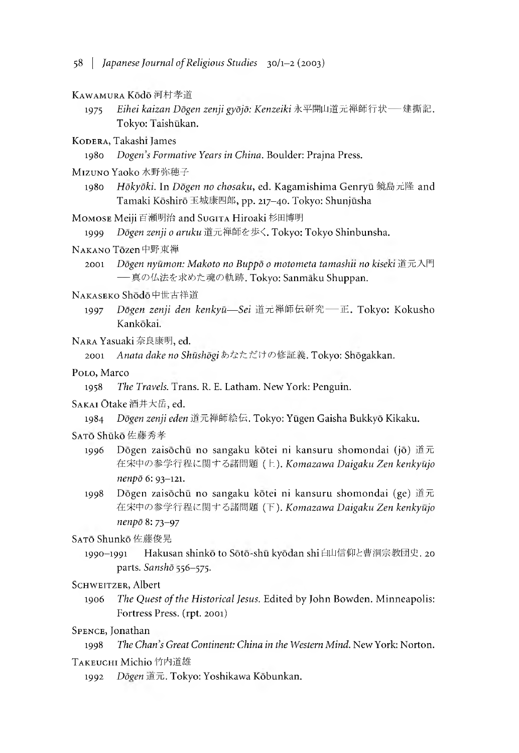#### Kawamura Kodo河村孝道

1975 *Eihei kaizan Dogen zenji gyojo: Kenzeiki*永平開山道元禅師行状— 建撕記. Tokyo: Taishūkan.

KODERA, Takashi James

1980 *Dogen s Formative Years in China.* Boulder: Prajna Press.

- MIZUNO Yaoko 水野弥穂子
	- 1980 *Hokyoki.* In *Dogen no chosaku,* ed. Kagamishima Genryu 鏡島元隆 and Tamaki Kōshirō 玉城康四郎, pp. 217-40. Tokyo: Shunjūsha
- Momose Meiji 百瀬明治 and Sugita Hiroaki 杉田博明

1999 *Dogen zenji 0 aruku* 道元禅師を歩く. Tokyo: Tokyo Shinbunsha.

# Nakano Tozen中野東禅

2001 *Dogen nyumon: Makoto no Buppo 0 motometa tamashu no kiseKi*道元入門 — 真の仏法を求めた魂の軌跡. Tokyo: Sanmaku Shuppan.

#### Nakaseko Shodo中世古祥道

- 1997 *Dōgen zenji den kenkyū—Sei* 道元禅師伝研究— 正. Tokyo: Kokusho Kankokai.
- NARA Yasuaki 奈良康明, ed.

2001 *Anata dake no Shushogi* あなただけの修証義• Tokyo: Shogakkan.

# Polo, Marco

1958 The Travels. Trans. R. E. Latham. New York: Penguin.

#### Sakai Otake 酒井大岳,ed.

1984 *Do^en zenji eden*道元禅師絵伝. Tokyo: Yugen Gaisha Bukkyo Kikaku.

#### SATO Shūkō 佐藤秀孝

- 1996 Dōgen zaisōchū no sangaku kōtei ni kansuru shomondai (jō) 道元 宋中の参学行 に関する 問題(上*).Komazawa Daigaku Zen kenkyujo nenpd* 6: 93-121.
- 1998 Dōgen zaisōchū no sangaku kōtei ni kansuru shomondai (ge) 道元 宋中の参学行 に関する 問題 *). Komazawa Daigaku Zen kenkyujo nenpd* 8: 73-97

#### SATŌ Shunkō 佐藤俊晃

1990-1991 Hakusan shinkō to Sōtō-shū kyōdan shi 白山信仰と曹洞宗教団史. 20 parts. *Sanshō* 556-575.

#### SCHWEITZER, Albert

1906 *The Quest of the Historical Jesus.* Edited by John Bowden. Minneapolis: Fortress Press, (rpt. 2001)

# Spence, Jonathan

1998 *The Chans Great Continent: China in the Western Mind.* New York: Norton.

#### Takeuchi Michio 竹内道雄

1992 *Dogen* 道元. Tokyo: Yoshikawa Kobunkan.